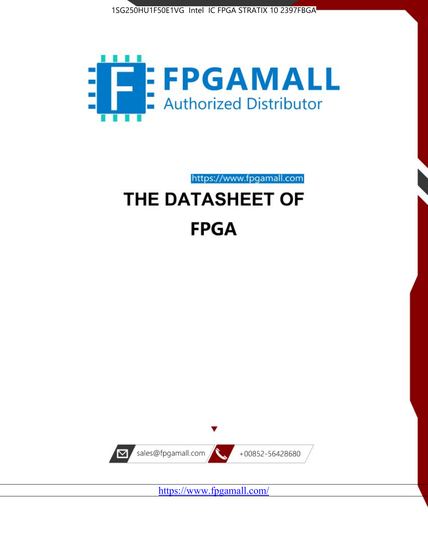



https://www.fpgamall.com

# THE DATASHEET OF **FPGA**



<https://www.fpgamall.com/>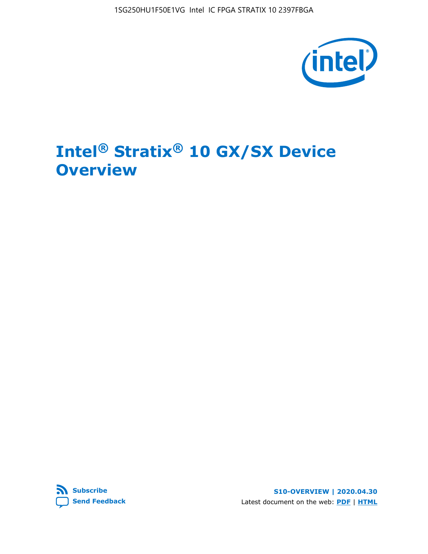1SG250HU1F50E1VG Intel IC FPGA STRATIX 10 2397FBGA



# **Intel® Stratix® 10 GX/SX Device Overview**



**S10-OVERVIEW | 2020.04.30** Latest document on the web: **[PDF](https://www.intel.com/content/dam/www/programmable/us/en/pdfs/literature/hb/stratix-10/s10-overview.pdf)** | **[HTML](https://www.intel.com/content/www/us/en/programmable/documentation/joc1442261161666.html)**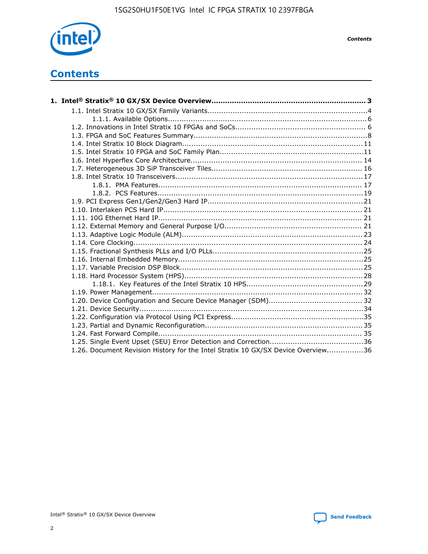

*Contents*

# **Contents**

| 1.26. Document Revision History for the Intel Stratix 10 GX/SX Device Overview36 |  |
|----------------------------------------------------------------------------------|--|

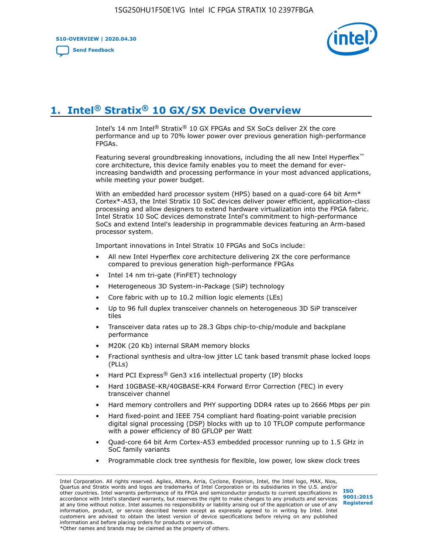**S10-OVERVIEW | 2020.04.30**

**[Send Feedback](mailto:FPGAtechdocfeedback@intel.com?subject=Feedback%20on%20Intel%20Stratix%2010%20GX/SX%20Device%20Overview%20(S10-OVERVIEW%202020.04.30)&body=We%20appreciate%20your%20feedback.%20In%20your%20comments,%20also%20specify%20the%20page%20number%20or%20paragraph.%20Thank%20you.)**



# **1. Intel® Stratix® 10 GX/SX Device Overview**

Intel's 14 nm Intel® Stratix® 10 GX FPGAs and SX SoCs deliver 2X the core performance and up to 70% lower power over previous generation high-performance FPGAs.

Featuring several groundbreaking innovations, including the all new Intel Hyperflex™ core architecture, this device family enables you to meet the demand for everincreasing bandwidth and processing performance in your most advanced applications, while meeting your power budget.

With an embedded hard processor system (HPS) based on a quad-core 64 bit Arm\* Cortex\*-A53, the Intel Stratix 10 SoC devices deliver power efficient, application-class processing and allow designers to extend hardware virtualization into the FPGA fabric. Intel Stratix 10 SoC devices demonstrate Intel's commitment to high-performance SoCs and extend Intel's leadership in programmable devices featuring an Arm-based processor system.

Important innovations in Intel Stratix 10 FPGAs and SoCs include:

- All new Intel Hyperflex core architecture delivering 2X the core performance compared to previous generation high-performance FPGAs
- Intel 14 nm tri-gate (FinFET) technology
- Heterogeneous 3D System-in-Package (SiP) technology
- Core fabric with up to 10.2 million logic elements (LEs)
- Up to 96 full duplex transceiver channels on heterogeneous 3D SiP transceiver tiles
- Transceiver data rates up to 28.3 Gbps chip-to-chip/module and backplane performance
- M20K (20 Kb) internal SRAM memory blocks
- Fractional synthesis and ultra-low jitter LC tank based transmit phase locked loops (PLLs)
- Hard PCI Express<sup>®</sup> Gen3 x16 intellectual property (IP) blocks
- Hard 10GBASE-KR/40GBASE-KR4 Forward Error Correction (FEC) in every transceiver channel
- Hard memory controllers and PHY supporting DDR4 rates up to 2666 Mbps per pin
- Hard fixed-point and IEEE 754 compliant hard floating-point variable precision digital signal processing (DSP) blocks with up to 10 TFLOP compute performance with a power efficiency of 80 GFLOP per Watt
- Quad-core 64 bit Arm Cortex-A53 embedded processor running up to 1.5 GHz in SoC family variants
- Programmable clock tree synthesis for flexible, low power, low skew clock trees

Intel Corporation. All rights reserved. Agilex, Altera, Arria, Cyclone, Enpirion, Intel, the Intel logo, MAX, Nios, Quartus and Stratix words and logos are trademarks of Intel Corporation or its subsidiaries in the U.S. and/or other countries. Intel warrants performance of its FPGA and semiconductor products to current specifications in accordance with Intel's standard warranty, but reserves the right to make changes to any products and services at any time without notice. Intel assumes no responsibility or liability arising out of the application or use of any information, product, or service described herein except as expressly agreed to in writing by Intel. Intel customers are advised to obtain the latest version of device specifications before relying on any published information and before placing orders for products or services. \*Other names and brands may be claimed as the property of others.

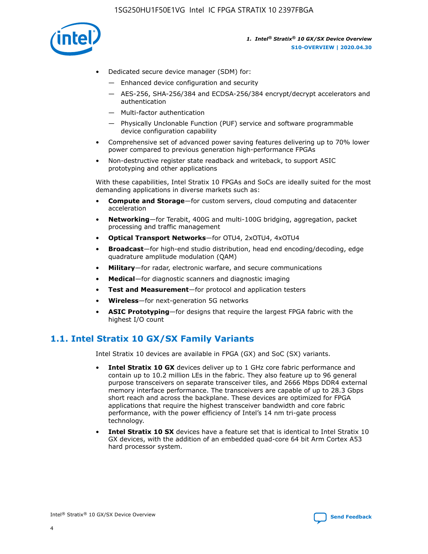

- Dedicated secure device manager (SDM) for:
	- Enhanced device configuration and security
	- AES-256, SHA-256/384 and ECDSA-256/384 encrypt/decrypt accelerators and authentication
	- Multi-factor authentication
	- Physically Unclonable Function (PUF) service and software programmable device configuration capability
- Comprehensive set of advanced power saving features delivering up to 70% lower power compared to previous generation high-performance FPGAs
- Non-destructive register state readback and writeback, to support ASIC prototyping and other applications

With these capabilities, Intel Stratix 10 FPGAs and SoCs are ideally suited for the most demanding applications in diverse markets such as:

- **Compute and Storage**—for custom servers, cloud computing and datacenter acceleration
- **Networking**—for Terabit, 400G and multi-100G bridging, aggregation, packet processing and traffic management
- **Optical Transport Networks**—for OTU4, 2xOTU4, 4xOTU4
- **Broadcast**—for high-end studio distribution, head end encoding/decoding, edge quadrature amplitude modulation (QAM)
- **Military**—for radar, electronic warfare, and secure communications
- **Medical**—for diagnostic scanners and diagnostic imaging
- **Test and Measurement**—for protocol and application testers
- **Wireless**—for next-generation 5G networks
- **ASIC Prototyping**—for designs that require the largest FPGA fabric with the highest I/O count

# **1.1. Intel Stratix 10 GX/SX Family Variants**

Intel Stratix 10 devices are available in FPGA (GX) and SoC (SX) variants.

- **Intel Stratix 10 GX** devices deliver up to 1 GHz core fabric performance and contain up to 10.2 million LEs in the fabric. They also feature up to 96 general purpose transceivers on separate transceiver tiles, and 2666 Mbps DDR4 external memory interface performance. The transceivers are capable of up to 28.3 Gbps short reach and across the backplane. These devices are optimized for FPGA applications that require the highest transceiver bandwidth and core fabric performance, with the power efficiency of Intel's 14 nm tri-gate process technology.
- **Intel Stratix 10 SX** devices have a feature set that is identical to Intel Stratix 10 GX devices, with the addition of an embedded quad-core 64 bit Arm Cortex A53 hard processor system.

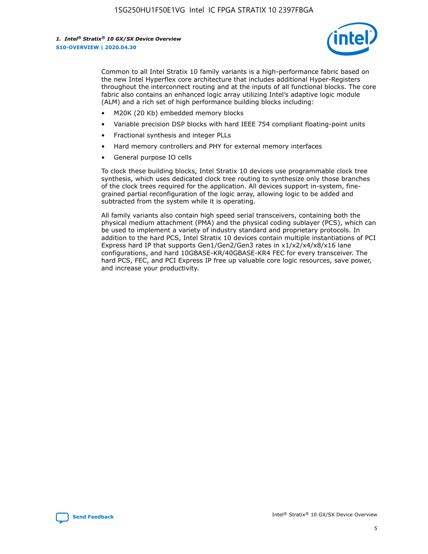

Common to all Intel Stratix 10 family variants is a high-performance fabric based on the new Intel Hyperflex core architecture that includes additional Hyper-Registers throughout the interconnect routing and at the inputs of all functional blocks. The core fabric also contains an enhanced logic array utilizing Intel's adaptive logic module (ALM) and a rich set of high performance building blocks including:

- M20K (20 Kb) embedded memory blocks
- Variable precision DSP blocks with hard IEEE 754 compliant floating-point units
- Fractional synthesis and integer PLLs
- Hard memory controllers and PHY for external memory interfaces
- General purpose IO cells

To clock these building blocks, Intel Stratix 10 devices use programmable clock tree synthesis, which uses dedicated clock tree routing to synthesize only those branches of the clock trees required for the application. All devices support in-system, finegrained partial reconfiguration of the logic array, allowing logic to be added and subtracted from the system while it is operating.

All family variants also contain high speed serial transceivers, containing both the physical medium attachment (PMA) and the physical coding sublayer (PCS), which can be used to implement a variety of industry standard and proprietary protocols. In addition to the hard PCS, Intel Stratix 10 devices contain multiple instantiations of PCI Express hard IP that supports Gen1/Gen2/Gen3 rates in x1/x2/x4/x8/x16 lane configurations, and hard 10GBASE-KR/40GBASE-KR4 FEC for every transceiver. The hard PCS, FEC, and PCI Express IP free up valuable core logic resources, save power, and increase your productivity.

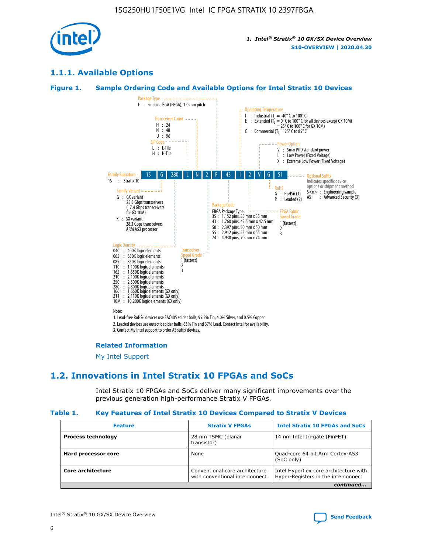

# **1.1.1. Available Options**

#### **Figure 1. Sample Ordering Code and Available Options for Intel Stratix 10 Devices**



# **Related Information**

[My Intel Support](https://www.intel.com/content/www/us/en/programmable/my-intel/mal-home.html)

# **1.2. Innovations in Intel Stratix 10 FPGAs and SoCs**

Intel Stratix 10 FPGAs and SoCs deliver many significant improvements over the previous generation high-performance Stratix V FPGAs.

#### **Table 1. Key Features of Intel Stratix 10 Devices Compared to Stratix V Devices**

| <b>Feature</b>            | <b>Stratix V FPGAs</b>                                           | <b>Intel Stratix 10 FPGAs and SoCs</b>                                        |
|---------------------------|------------------------------------------------------------------|-------------------------------------------------------------------------------|
| <b>Process technology</b> | 28 nm TSMC (planar<br>transistor)                                | 14 nm Intel tri-gate (FinFET)                                                 |
| Hard processor core       | None                                                             | Quad-core 64 bit Arm Cortex-A53<br>(SoC only)                                 |
| Core architecture         | Conventional core architecture<br>with conventional interconnect | Intel Hyperflex core architecture with<br>Hyper-Registers in the interconnect |
|                           |                                                                  | continued                                                                     |

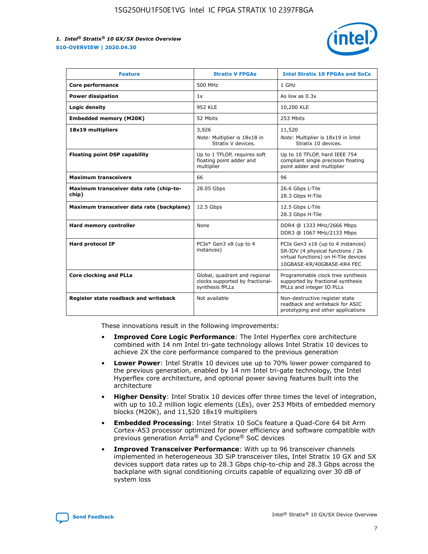

| <b>Feature</b>                                   | <b>Stratix V FPGAs</b>                                                              | <b>Intel Stratix 10 FPGAs and SoCs</b>                                                                                                       |
|--------------------------------------------------|-------------------------------------------------------------------------------------|----------------------------------------------------------------------------------------------------------------------------------------------|
| Core performance                                 | 500 MHz                                                                             | 1 GHz                                                                                                                                        |
| <b>Power dissipation</b>                         | 1x                                                                                  | As low as $0.3x$                                                                                                                             |
| Logic density                                    | <b>952 KLE</b>                                                                      | 10,200 KLE                                                                                                                                   |
| <b>Embedded memory (M20K)</b>                    | 52 Mbits                                                                            | 253 Mbits                                                                                                                                    |
| 18x19 multipliers                                | 3,926                                                                               | 11,520                                                                                                                                       |
|                                                  | Note: Multiplier is 18x18 in<br>Stratix V devices.                                  | Note: Multiplier is 18x19 in Intel<br>Stratix 10 devices.                                                                                    |
| <b>Floating point DSP capability</b>             | Up to 1 TFLOP, requires soft<br>floating point adder and<br>multiplier              | Up to 10 TFLOP, hard IEEE 754<br>compliant single precision floating<br>point adder and multiplier                                           |
| <b>Maximum transceivers</b>                      | 66                                                                                  | 96                                                                                                                                           |
| Maximum transceiver data rate (chip-to-<br>chip) | 28.05 Gbps                                                                          | 26.6 Gbps L-Tile<br>28.3 Gbps H-Tile                                                                                                         |
| Maximum transceiver data rate (backplane)        | 12.5 Gbps                                                                           | 12.5 Gbps L-Tile<br>28.3 Gbps H-Tile                                                                                                         |
| Hard memory controller                           | None                                                                                | DDR4 @ 1333 MHz/2666 Mbps<br>DDR3 @ 1067 MHz/2133 Mbps                                                                                       |
| <b>Hard protocol IP</b>                          | PCIe* Gen3 x8 (up to 4<br>instances)                                                | PCIe Gen3 x16 (up to 4 instances)<br>SR-IOV (4 physical functions / 2k<br>virtual functions) on H-Tile devices<br>10GBASE-KR/40GBASE-KR4 FEC |
| <b>Core clocking and PLLs</b>                    | Global, quadrant and regional<br>clocks supported by fractional-<br>synthesis fPLLs | Programmable clock tree synthesis<br>supported by fractional synthesis<br>fPLLs and integer IO PLLs                                          |
| Register state readback and writeback            | Not available                                                                       | Non-destructive register state<br>readback and writeback for ASIC<br>prototyping and other applications                                      |

These innovations result in the following improvements:

- **Improved Core Logic Performance**: The Intel Hyperflex core architecture combined with 14 nm Intel tri-gate technology allows Intel Stratix 10 devices to achieve 2X the core performance compared to the previous generation
- **Lower Power**: Intel Stratix 10 devices use up to 70% lower power compared to the previous generation, enabled by 14 nm Intel tri-gate technology, the Intel Hyperflex core architecture, and optional power saving features built into the architecture
- **Higher Density**: Intel Stratix 10 devices offer three times the level of integration, with up to 10.2 million logic elements (LEs), over 253 Mbits of embedded memory blocks (M20K), and 11,520 18x19 multipliers
- **Embedded Processing**: Intel Stratix 10 SoCs feature a Quad-Core 64 bit Arm Cortex-A53 processor optimized for power efficiency and software compatible with previous generation Arria® and Cyclone® SoC devices
- **Improved Transceiver Performance**: With up to 96 transceiver channels implemented in heterogeneous 3D SiP transceiver tiles, Intel Stratix 10 GX and SX devices support data rates up to 28.3 Gbps chip-to-chip and 28.3 Gbps across the backplane with signal conditioning circuits capable of equalizing over 30 dB of system loss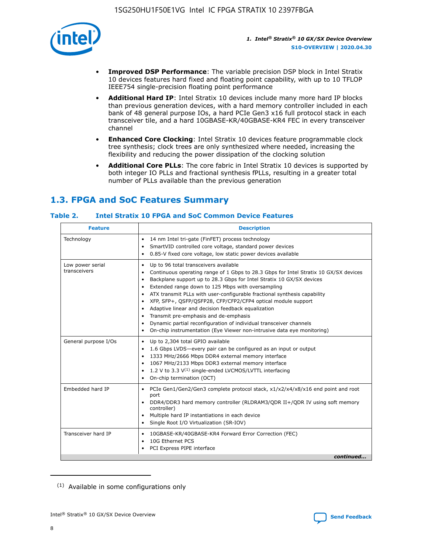

- **Improved DSP Performance**: The variable precision DSP block in Intel Stratix 10 devices features hard fixed and floating point capability, with up to 10 TFLOP IEEE754 single-precision floating point performance
- **Additional Hard IP**: Intel Stratix 10 devices include many more hard IP blocks than previous generation devices, with a hard memory controller included in each bank of 48 general purpose IOs, a hard PCIe Gen3 x16 full protocol stack in each transceiver tile, and a hard 10GBASE-KR/40GBASE-KR4 FEC in every transceiver channel
- **Enhanced Core Clocking**: Intel Stratix 10 devices feature programmable clock tree synthesis; clock trees are only synthesized where needed, increasing the flexibility and reducing the power dissipation of the clocking solution
- **Additional Core PLLs**: The core fabric in Intel Stratix 10 devices is supported by both integer IO PLLs and fractional synthesis fPLLs, resulting in a greater total number of PLLs available than the previous generation

# **1.3. FPGA and SoC Features Summary**

#### **Table 2. Intel Stratix 10 FPGA and SoC Common Device Features**

| <b>Feature</b>                   | <b>Description</b>                                                                                                                                                                                                                                                                                                                                                                                                                                                                                                                                                                                                                            |
|----------------------------------|-----------------------------------------------------------------------------------------------------------------------------------------------------------------------------------------------------------------------------------------------------------------------------------------------------------------------------------------------------------------------------------------------------------------------------------------------------------------------------------------------------------------------------------------------------------------------------------------------------------------------------------------------|
| Technology                       | 14 nm Intel tri-gate (FinFET) process technology<br>٠<br>SmartVID controlled core voltage, standard power devices<br>0.85-V fixed core voltage, low static power devices available<br>$\bullet$                                                                                                                                                                                                                                                                                                                                                                                                                                               |
| Low power serial<br>transceivers | Up to 96 total transceivers available<br>٠<br>Continuous operating range of 1 Gbps to 28.3 Gbps for Intel Stratix 10 GX/SX devices<br>$\bullet$<br>Backplane support up to 28.3 Gbps for Intel Stratix 10 GX/SX devices<br>$\bullet$<br>Extended range down to 125 Mbps with oversampling<br>$\bullet$<br>ATX transmit PLLs with user-configurable fractional synthesis capability<br>٠<br>• XFP, SFP+, QSFP/QSFP28, CFP/CFP2/CFP4 optical module support<br>• Adaptive linear and decision feedback equalization<br>Transmit pre-emphasis and de-emphasis<br>Dynamic partial reconfiguration of individual transceiver channels<br>$\bullet$ |
|                                  | On-chip instrumentation (Eye Viewer non-intrusive data eye monitoring)<br>$\bullet$                                                                                                                                                                                                                                                                                                                                                                                                                                                                                                                                                           |
| General purpose I/Os             | Up to 2,304 total GPIO available<br>$\bullet$<br>1.6 Gbps LVDS-every pair can be configured as an input or output<br>1333 MHz/2666 Mbps DDR4 external memory interface<br>1067 MHz/2133 Mbps DDR3 external memory interface<br>• 1.2 V to 3.3 $V^{(1)}$ single-ended LVCMOS/LVTTL interfacing<br>• On-chip termination (OCT)                                                                                                                                                                                                                                                                                                                  |
| Embedded hard IP                 | • PCIe Gen1/Gen2/Gen3 complete protocol stack, x1/x2/x4/x8/x16 end point and root<br>port<br>DDR4/DDR3 hard memory controller (RLDRAM3/QDR II+/QDR IV using soft memory<br>$\bullet$<br>controller)<br>• Multiple hard IP instantiations in each device<br>• Single Root I/O Virtualization (SR-IOV)                                                                                                                                                                                                                                                                                                                                          |
| Transceiver hard IP              | 10GBASE-KR/40GBASE-KR4 Forward Error Correction (FEC)<br>$\bullet$<br>10G Ethernet PCS<br>$\bullet$<br>PCI Express PIPE interface<br>٠<br>continued                                                                                                                                                                                                                                                                                                                                                                                                                                                                                           |
|                                  |                                                                                                                                                                                                                                                                                                                                                                                                                                                                                                                                                                                                                                               |

<sup>(1)</sup> Available in some configurations only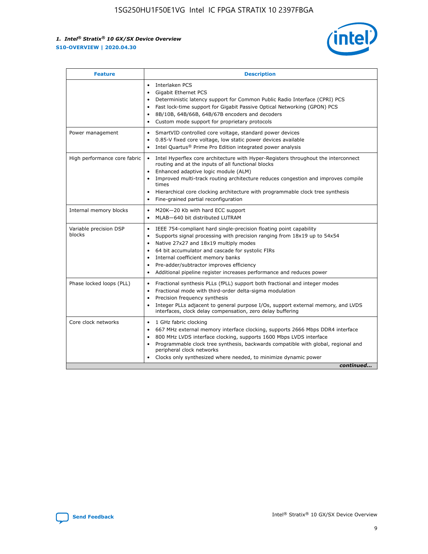

| <b>Feature</b>                   | <b>Description</b>                                                                                                                                                                                                                                                                                                                                                                                                                                                    |
|----------------------------------|-----------------------------------------------------------------------------------------------------------------------------------------------------------------------------------------------------------------------------------------------------------------------------------------------------------------------------------------------------------------------------------------------------------------------------------------------------------------------|
|                                  | Interlaken PCS<br>$\bullet$<br>Gigabit Ethernet PCS<br>$\bullet$<br>Deterministic latency support for Common Public Radio Interface (CPRI) PCS<br>$\bullet$<br>Fast lock-time support for Gigabit Passive Optical Networking (GPON) PCS<br>$\bullet$<br>8B/10B, 64B/66B, 64B/67B encoders and decoders<br>$\bullet$<br>Custom mode support for proprietary protocols<br>$\bullet$                                                                                     |
| Power management                 | SmartVID controlled core voltage, standard power devices<br>$\bullet$<br>0.85-V fixed core voltage, low static power devices available<br>$\bullet$<br>Intel Quartus <sup>®</sup> Prime Pro Edition integrated power analysis<br>٠                                                                                                                                                                                                                                    |
| High performance core fabric     | Intel Hyperflex core architecture with Hyper-Registers throughout the interconnect<br>$\bullet$<br>routing and at the inputs of all functional blocks<br>Enhanced adaptive logic module (ALM)<br>$\bullet$<br>Improved multi-track routing architecture reduces congestion and improves compile<br>times<br>Hierarchical core clocking architecture with programmable clock tree synthesis<br>Fine-grained partial reconfiguration                                    |
| Internal memory blocks           | M20K-20 Kb with hard ECC support<br>٠<br>MLAB-640 bit distributed LUTRAM<br>$\bullet$                                                                                                                                                                                                                                                                                                                                                                                 |
| Variable precision DSP<br>blocks | IEEE 754-compliant hard single-precision floating point capability<br>$\bullet$<br>Supports signal processing with precision ranging from 18x19 up to 54x54<br>$\bullet$<br>Native 27x27 and 18x19 multiply modes<br>$\bullet$<br>64 bit accumulator and cascade for systolic FIRs<br>Internal coefficient memory banks<br>Pre-adder/subtractor improves efficiency<br>$\bullet$<br>Additional pipeline register increases performance and reduces power<br>$\bullet$ |
| Phase locked loops (PLL)         | Fractional synthesis PLLs (fPLL) support both fractional and integer modes<br>$\bullet$<br>Fractional mode with third-order delta-sigma modulation<br>Precision frequency synthesis<br>$\bullet$<br>Integer PLLs adjacent to general purpose I/Os, support external memory, and LVDS<br>$\bullet$<br>interfaces, clock delay compensation, zero delay buffering                                                                                                       |
| Core clock networks              | 1 GHz fabric clocking<br>$\bullet$<br>667 MHz external memory interface clocking, supports 2666 Mbps DDR4 interface<br>$\bullet$<br>800 MHz LVDS interface clocking, supports 1600 Mbps LVDS interface<br>$\bullet$<br>Programmable clock tree synthesis, backwards compatible with global, regional and<br>$\bullet$<br>peripheral clock networks<br>Clocks only synthesized where needed, to minimize dynamic power<br>continued                                    |

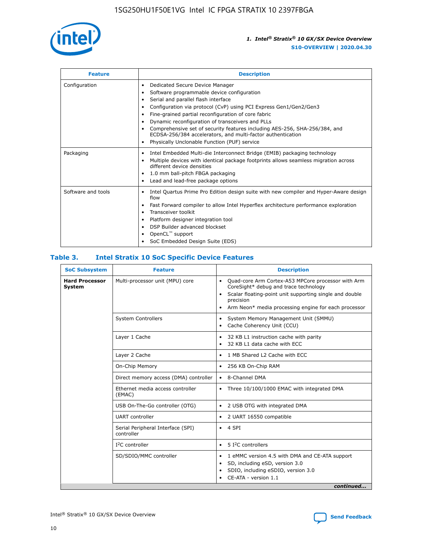

| <b>Feature</b>     | <b>Description</b>                                                                                                                                                                                                                                                                                                                                                                                                                                                                                                                                                   |
|--------------------|----------------------------------------------------------------------------------------------------------------------------------------------------------------------------------------------------------------------------------------------------------------------------------------------------------------------------------------------------------------------------------------------------------------------------------------------------------------------------------------------------------------------------------------------------------------------|
| Configuration      | Dedicated Secure Device Manager<br>$\bullet$<br>Software programmable device configuration<br>٠<br>Serial and parallel flash interface<br>٠<br>Configuration via protocol (CvP) using PCI Express Gen1/Gen2/Gen3<br>٠<br>Fine-grained partial reconfiguration of core fabric<br>$\bullet$<br>Dynamic reconfiguration of transceivers and PLLs<br>$\bullet$<br>Comprehensive set of security features including AES-256, SHA-256/384, and<br>ECDSA-256/384 accelerators, and multi-factor authentication<br>Physically Unclonable Function (PUF) service<br>$\bullet$ |
| Packaging          | Intel Embedded Multi-die Interconnect Bridge (EMIB) packaging technology<br>٠<br>Multiple devices with identical package footprints allows seamless migration across<br>$\bullet$<br>different device densities<br>1.0 mm ball-pitch FBGA packaging<br>$\bullet$<br>Lead and lead-free package options                                                                                                                                                                                                                                                               |
| Software and tools | Intel Quartus Prime Pro Edition design suite with new compiler and Hyper-Aware design<br>flow<br>Fast Forward compiler to allow Intel Hyperflex architecture performance exploration<br>$\bullet$<br>Transceiver toolkit<br>$\bullet$<br>Platform designer integration tool<br>DSP Builder advanced blockset<br>OpenCL <sup>™</sup> support<br>SoC Embedded Design Suite (EDS)                                                                                                                                                                                       |

#### **Table 3. Intel Stratix 10 SoC Specific Device Features**

| <b>SoC Subsystem</b>                   | <b>Feature</b>                                  | <b>Description</b>                                                                                                                                                                                                                                                 |  |  |
|----------------------------------------|-------------------------------------------------|--------------------------------------------------------------------------------------------------------------------------------------------------------------------------------------------------------------------------------------------------------------------|--|--|
| <b>Hard Processor</b><br><b>System</b> | Multi-processor unit (MPU) core                 | Quad-core Arm Cortex-A53 MPCore processor with Arm<br>$\bullet$<br>CoreSight* debug and trace technology<br>Scalar floating-point unit supporting single and double<br>$\bullet$<br>precision<br>Arm Neon* media processing engine for each processor<br>$\bullet$ |  |  |
|                                        | <b>System Controllers</b>                       | System Memory Management Unit (SMMU)<br>$\bullet$<br>Cache Coherency Unit (CCU)<br>$\bullet$                                                                                                                                                                       |  |  |
|                                        | Layer 1 Cache                                   | 32 KB L1 instruction cache with parity<br>٠<br>32 KB L1 data cache with ECC<br>$\bullet$                                                                                                                                                                           |  |  |
|                                        | Layer 2 Cache                                   | 1 MB Shared L2 Cache with ECC<br>$\bullet$                                                                                                                                                                                                                         |  |  |
|                                        | On-Chip Memory                                  | 256 KB On-Chip RAM<br>$\bullet$                                                                                                                                                                                                                                    |  |  |
|                                        | Direct memory access (DMA) controller           | • 8-Channel DMA                                                                                                                                                                                                                                                    |  |  |
|                                        | Ethernet media access controller<br>(EMAC)      | Three 10/100/1000 EMAC with integrated DMA<br>$\bullet$                                                                                                                                                                                                            |  |  |
|                                        | USB On-The-Go controller (OTG)                  | 2 USB OTG with integrated DMA<br>$\bullet$                                                                                                                                                                                                                         |  |  |
|                                        | <b>UART</b> controller                          | 2 UART 16550 compatible<br>$\bullet$                                                                                                                                                                                                                               |  |  |
|                                        | Serial Peripheral Interface (SPI)<br>controller | $\bullet$ 4 SPI                                                                                                                                                                                                                                                    |  |  |
|                                        | $I2C$ controller                                | 5 <sup>2</sup> C controllers<br>$\bullet$                                                                                                                                                                                                                          |  |  |
|                                        | SD/SDIO/MMC controller                          | 1 eMMC version 4.5 with DMA and CE-ATA support<br>$\bullet$<br>SD, including eSD, version 3.0<br>٠<br>SDIO, including eSDIO, version 3.0<br>CE-ATA - version 1.1<br>continued                                                                                      |  |  |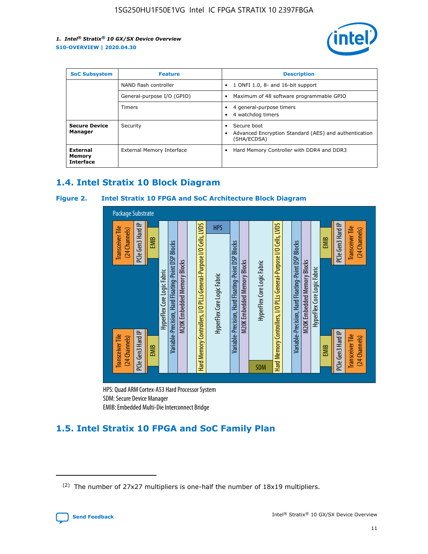

| <b>SoC Subsystem</b>                   | <b>Feature</b>             | <b>Description</b>                                                                            |  |  |
|----------------------------------------|----------------------------|-----------------------------------------------------------------------------------------------|--|--|
|                                        | NAND flash controller      | 1 ONFI 1.0, 8- and 16-bit support<br>$\bullet$                                                |  |  |
|                                        | General-purpose I/O (GPIO) | Maximum of 48 software programmable GPIO<br>$\bullet$                                         |  |  |
|                                        | <b>Timers</b>              | 4 general-purpose timers<br>٠<br>4 watchdog timers                                            |  |  |
| <b>Secure Device</b><br>Manager        | Security                   | Secure boot<br>٠<br>Advanced Encryption Standard (AES) and authentication<br>٠<br>(SHA/ECDSA) |  |  |
| External<br>Memory<br><b>Interface</b> | External Memory Interface  | Hard Memory Controller with DDR4 and DDR3<br>$\bullet$                                        |  |  |

# **1.4. Intel Stratix 10 Block Diagram**

#### **Figure 2. Intel Stratix 10 FPGA and SoC Architecture Block Diagram**



HPS: Quad ARM Cortex-A53 Hard Processor System SDM: Secure Device Manager

# **1.5. Intel Stratix 10 FPGA and SoC Family Plan**

<sup>(2)</sup> The number of 27x27 multipliers is one-half the number of 18x19 multipliers.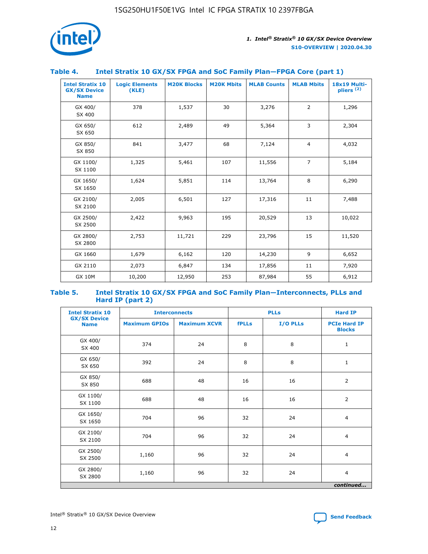

#### **Table 4. Intel Stratix 10 GX/SX FPGA and SoC Family Plan—FPGA Core (part 1)**

| <b>Intel Stratix 10</b><br><b>GX/SX Device</b><br><b>Name</b> | <b>Logic Elements</b><br>(KLE) | <b>M20K Blocks</b> | <b>M20K Mbits</b> | <b>MLAB Counts</b> | <b>MLAB Mbits</b> | <b>18x19 Multi-</b><br>pliers <sup>(2)</sup> |
|---------------------------------------------------------------|--------------------------------|--------------------|-------------------|--------------------|-------------------|----------------------------------------------|
| GX 400/<br>SX 400                                             | 378                            | 1,537              | 30                | 3,276              | 2                 | 1,296                                        |
| GX 650/<br>SX 650                                             | 612                            | 2,489              | 49                | 5,364              | 3                 | 2,304                                        |
| GX 850/<br>SX 850                                             | 841                            | 3,477              | 68                | 7,124              | $\overline{4}$    | 4,032                                        |
| GX 1100/<br>SX 1100                                           | 1,325                          | 5,461              | 107               | 11,556             | $\overline{7}$    | 5,184                                        |
| GX 1650/<br>SX 1650                                           | 1,624                          | 5,851              | 114               | 13,764             | 8                 | 6,290                                        |
| GX 2100/<br>SX 2100                                           | 2,005                          | 6,501              | 127               | 17,316             | 11                | 7,488                                        |
| GX 2500/<br>SX 2500                                           | 2,422                          | 9,963              | 195               | 20,529             | 13                | 10,022                                       |
| GX 2800/<br>SX 2800                                           | 2,753                          | 11,721             | 229               | 23,796             | 15                | 11,520                                       |
| GX 1660                                                       | 1,679                          | 6,162              | 120               | 14,230             | 9                 | 6,652                                        |
| GX 2110                                                       | 2,073                          | 6,847              | 134               | 17,856             | 11                | 7,920                                        |
| <b>GX 10M</b>                                                 | 10,200                         | 12,950             | 253               | 87,984             | 55                | 6,912                                        |

#### **Table 5. Intel Stratix 10 GX/SX FPGA and SoC Family Plan—Interconnects, PLLs and Hard IP (part 2)**

| <b>Intel Stratix 10</b>            |                      | <b>Interconnects</b> |              | <b>PLLs</b> | <b>Hard IP</b>                       |  |
|------------------------------------|----------------------|----------------------|--------------|-------------|--------------------------------------|--|
| <b>GX/SX Device</b><br><b>Name</b> | <b>Maximum GPIOs</b> | <b>Maximum XCVR</b>  | <b>fPLLs</b> | I/O PLLs    | <b>PCIe Hard IP</b><br><b>Blocks</b> |  |
| GX 400/<br>SX 400                  | 374                  | 24                   | 8            | 8           | $\mathbf{1}$                         |  |
| GX 650/<br>SX 650                  | 392                  | 24                   | 8            | 8           | $\mathbf{1}$                         |  |
| GX 850/<br>SX 850                  | 688                  | 48                   | 16           | 16          | 2                                    |  |
| GX 1100/<br>SX 1100                | 688                  | 48                   | 16           | 16          | 2                                    |  |
| GX 1650/<br>SX 1650                | 704                  | 96                   | 32           | 24          | $\overline{4}$                       |  |
| GX 2100/<br>SX 2100                | 704                  | 96                   | 32           | 24          | $\overline{4}$                       |  |
| GX 2500/<br>SX 2500                | 1,160                | 96                   | 32           | 24          | $\overline{4}$                       |  |
| GX 2800/<br>SX 2800                | 1,160                | 96                   | 32           | 24          | $\overline{4}$                       |  |
| continued                          |                      |                      |              |             |                                      |  |

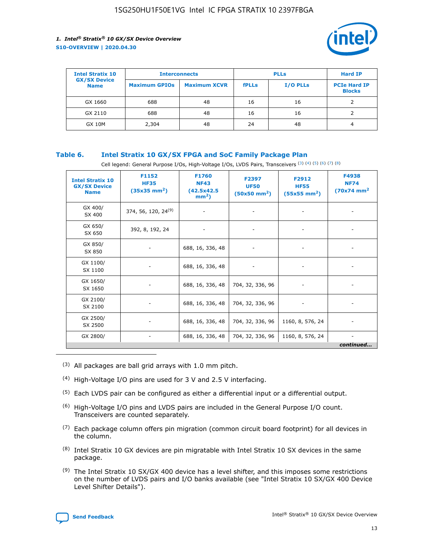

| <b>Intel Stratix 10</b>            | <b>Interconnects</b> |                     | <b>PLLs</b>  |                 | <b>Hard IP</b>                       |
|------------------------------------|----------------------|---------------------|--------------|-----------------|--------------------------------------|
| <b>GX/SX Device</b><br><b>Name</b> | <b>Maximum GPIOs</b> | <b>Maximum XCVR</b> | <b>fPLLs</b> | <b>I/O PLLs</b> | <b>PCIe Hard IP</b><br><b>Blocks</b> |
| GX 1660                            | 688                  | 48                  | 16           | 16              |                                      |
| GX 2110                            | 688                  | 48                  | 16           | 16              |                                      |
| <b>GX 10M</b>                      | 2,304                | 48                  | 24           | 48              | 4                                    |

#### **Table 6. Intel Stratix 10 GX/SX FPGA and SoC Family Package Plan**

Cell legend: General Purpose I/Os, High-Voltage I/Os, LVDS Pairs, Transceivers (3) (4) (5) (6) (7) (8)

| <b>Intel Stratix 10</b><br><b>GX/SX Device</b><br><b>Name</b> | F1152<br><b>HF35</b><br>$(35x35 \text{ mm}^2)$ | F1760<br><b>NF43</b><br>(42.5x42.5<br>$mm2$ ) | F2397<br><b>UF50</b><br>$(50x50 \text{ mm}^2)$ | F2912<br><b>HF55</b><br>$(55x55$ mm <sup>2</sup> ) | F4938<br><b>NF74</b><br>$(70x74)$ mm <sup>2</sup> |
|---------------------------------------------------------------|------------------------------------------------|-----------------------------------------------|------------------------------------------------|----------------------------------------------------|---------------------------------------------------|
| GX 400/<br>SX 400                                             | 374, 56, 120, 24 <sup>(9)</sup>                | $\overline{\phantom{a}}$                      | $\overline{\phantom{a}}$                       | ۰                                                  |                                                   |
| GX 650/<br>SX 650                                             | 392, 8, 192, 24                                | $\overline{\phantom{a}}$                      | $\overline{\phantom{a}}$                       |                                                    |                                                   |
| GX 850/<br>SX 850                                             | ۰.                                             | 688, 16, 336, 48                              |                                                |                                                    |                                                   |
| GX 1100/<br>SX 1100                                           |                                                | 688, 16, 336, 48                              |                                                |                                                    |                                                   |
| GX 1650/<br>SX 1650                                           |                                                | 688, 16, 336, 48                              | 704, 32, 336, 96                               |                                                    |                                                   |
| GX 2100/<br>SX 2100                                           | -                                              | 688, 16, 336, 48                              | 704, 32, 336, 96                               | $\overline{\phantom{a}}$                           |                                                   |
| GX 2500/<br>SX 2500                                           |                                                | 688, 16, 336, 48                              | 704, 32, 336, 96                               | 1160, 8, 576, 24                                   |                                                   |
| GX 2800/                                                      | -                                              | 688, 16, 336, 48                              | 704, 32, 336, 96                               | 1160, 8, 576, 24                                   | $\overline{\phantom{a}}$<br>continued             |

- (3) All packages are ball grid arrays with 1.0 mm pitch.
- (4) High-Voltage I/O pins are used for 3 V and 2.5 V interfacing.
- $(5)$  Each LVDS pair can be configured as either a differential input or a differential output.
- (6) High-Voltage I/O pins and LVDS pairs are included in the General Purpose I/O count. Transceivers are counted separately.
- $(7)$  Each package column offers pin migration (common circuit board footprint) for all devices in the column.
- $(8)$  Intel Stratix 10 GX devices are pin migratable with Intel Stratix 10 SX devices in the same package.
- $(9)$  The Intel Stratix 10 SX/GX 400 device has a level shifter, and this imposes some restrictions on the number of LVDS pairs and I/O banks available (see "Intel Stratix 10 SX/GX 400 Device Level Shifter Details").

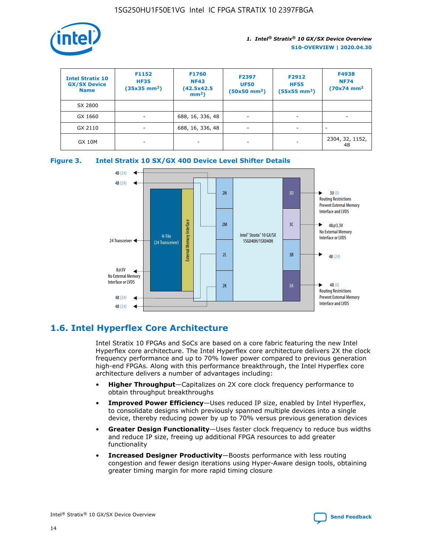

| <b>Intel Stratix 10</b><br><b>GX/SX Device</b><br><b>Name</b> | F1152<br><b>HF35</b><br>$(35x35)$ mm <sup>2</sup> ) | <b>F1760</b><br><b>NF43</b><br>(42.5x42.5<br>$mm2$ ) | F2397<br><b>UF50</b><br>$(50x50 \text{ mm}^2)$ | F2912<br><b>HF55</b><br>$(55x55$ mm <sup>2</sup> ) | F4938<br><b>NF74</b><br>$(70x74)$ mm <sup>2</sup> |
|---------------------------------------------------------------|-----------------------------------------------------|------------------------------------------------------|------------------------------------------------|----------------------------------------------------|---------------------------------------------------|
| SX 2800                                                       |                                                     |                                                      |                                                |                                                    |                                                   |
| GX 1660                                                       | -                                                   | 688, 16, 336, 48                                     | $\overline{\phantom{a}}$                       |                                                    |                                                   |
| GX 2110                                                       |                                                     | 688, 16, 336, 48                                     | $\overline{\phantom{a}}$                       |                                                    |                                                   |
| <b>GX 10M</b>                                                 | ۰                                                   |                                                      |                                                |                                                    | 2304, 32, 1152,<br>48                             |





# **1.6. Intel Hyperflex Core Architecture**

Intel Stratix 10 FPGAs and SoCs are based on a core fabric featuring the new Intel Hyperflex core architecture. The Intel Hyperflex core architecture delivers 2X the clock frequency performance and up to 70% lower power compared to previous generation high-end FPGAs. Along with this performance breakthrough, the Intel Hyperflex core architecture delivers a number of advantages including:

- **Higher Throughput**—Capitalizes on 2X core clock frequency performance to obtain throughput breakthroughs
- **Improved Power Efficiency**—Uses reduced IP size, enabled by Intel Hyperflex, to consolidate designs which previously spanned multiple devices into a single device, thereby reducing power by up to 70% versus previous generation devices
- **Greater Design Functionality**—Uses faster clock frequency to reduce bus widths and reduce IP size, freeing up additional FPGA resources to add greater functionality
- **Increased Designer Productivity**—Boosts performance with less routing congestion and fewer design iterations using Hyper-Aware design tools, obtaining greater timing margin for more rapid timing closure

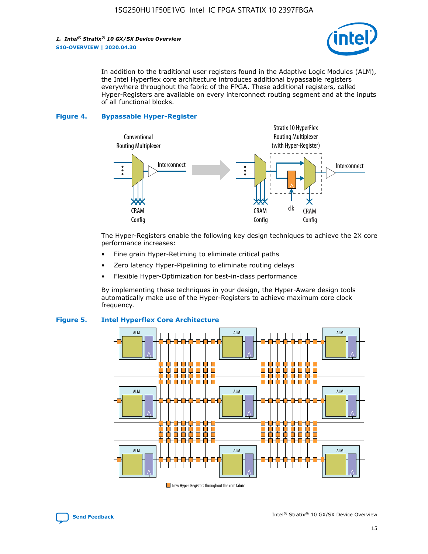

In addition to the traditional user registers found in the Adaptive Logic Modules (ALM), the Intel Hyperflex core architecture introduces additional bypassable registers everywhere throughout the fabric of the FPGA. These additional registers, called Hyper-Registers are available on every interconnect routing segment and at the inputs of all functional blocks.

#### **Figure 4. Bypassable Hyper-Register**



The Hyper-Registers enable the following key design techniques to achieve the 2X core performance increases:

- Fine grain Hyper-Retiming to eliminate critical paths
- Zero latency Hyper-Pipelining to eliminate routing delays
- Flexible Hyper-Optimization for best-in-class performance

By implementing these techniques in your design, the Hyper-Aware design tools automatically make use of the Hyper-Registers to achieve maximum core clock frequency.



#### **Figure 5. Intel Hyperflex Core Architecture**

New Hyper-Registers throughout the core fabric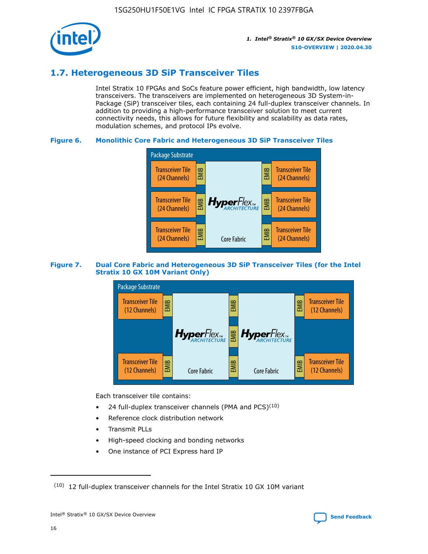

# **1.7. Heterogeneous 3D SiP Transceiver Tiles**

Intel Stratix 10 FPGAs and SoCs feature power efficient, high bandwidth, low latency transceivers. The transceivers are implemented on heterogeneous 3D System-in-Package (SiP) transceiver tiles, each containing 24 full-duplex transceiver channels. In addition to providing a high-performance transceiver solution to meet current connectivity needs, this allows for future flexibility and scalability as data rates, modulation schemes, and protocol IPs evolve.

#### **Figure 6. Monolithic Core Fabric and Heterogeneous 3D SiP Transceiver Tiles**



#### **Figure 7. Dual Core Fabric and Heterogeneous 3D SiP Transceiver Tiles (for the Intel Stratix 10 GX 10M Variant Only)**



Each transceiver tile contains:

- 24 full-duplex transceiver channels (PMA and PCS) $(10)$
- Reference clock distribution network
- Transmit PLLs
- High-speed clocking and bonding networks
- One instance of PCI Express hard IP

 $(10)$  12 full-duplex transceiver channels for the Intel Stratix 10 GX 10M variant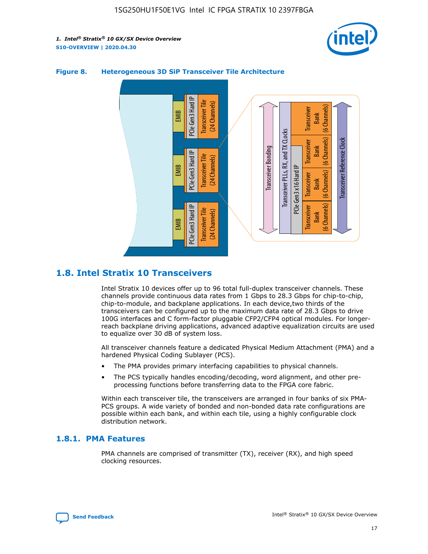



#### **Figure 8. Heterogeneous 3D SiP Transceiver Tile Architecture**

# **1.8. Intel Stratix 10 Transceivers**

Intel Stratix 10 devices offer up to 96 total full-duplex transceiver channels. These channels provide continuous data rates from 1 Gbps to 28.3 Gbps for chip-to-chip, chip-to-module, and backplane applications. In each device,two thirds of the transceivers can be configured up to the maximum data rate of 28.3 Gbps to drive 100G interfaces and C form-factor pluggable CFP2/CFP4 optical modules. For longerreach backplane driving applications, advanced adaptive equalization circuits are used to equalize over 30 dB of system loss.

All transceiver channels feature a dedicated Physical Medium Attachment (PMA) and a hardened Physical Coding Sublayer (PCS).

- The PMA provides primary interfacing capabilities to physical channels.
- The PCS typically handles encoding/decoding, word alignment, and other preprocessing functions before transferring data to the FPGA core fabric.

Within each transceiver tile, the transceivers are arranged in four banks of six PMA-PCS groups. A wide variety of bonded and non-bonded data rate configurations are possible within each bank, and within each tile, using a highly configurable clock distribution network.

#### **1.8.1. PMA Features**

PMA channels are comprised of transmitter (TX), receiver (RX), and high speed clocking resources.

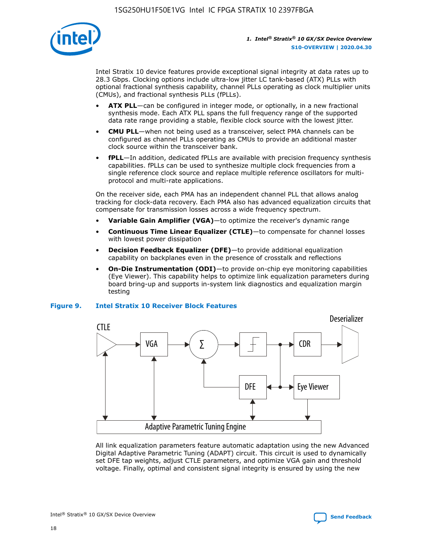

Intel Stratix 10 device features provide exceptional signal integrity at data rates up to 28.3 Gbps. Clocking options include ultra-low jitter LC tank-based (ATX) PLLs with optional fractional synthesis capability, channel PLLs operating as clock multiplier units (CMUs), and fractional synthesis PLLs (fPLLs).

- **ATX PLL**—can be configured in integer mode, or optionally, in a new fractional synthesis mode. Each ATX PLL spans the full frequency range of the supported data rate range providing a stable, flexible clock source with the lowest jitter.
- **CMU PLL**—when not being used as a transceiver, select PMA channels can be configured as channel PLLs operating as CMUs to provide an additional master clock source within the transceiver bank.
- **fPLL**—In addition, dedicated fPLLs are available with precision frequency synthesis capabilities. fPLLs can be used to synthesize multiple clock frequencies from a single reference clock source and replace multiple reference oscillators for multiprotocol and multi-rate applications.

On the receiver side, each PMA has an independent channel PLL that allows analog tracking for clock-data recovery. Each PMA also has advanced equalization circuits that compensate for transmission losses across a wide frequency spectrum.

- **Variable Gain Amplifier (VGA)**—to optimize the receiver's dynamic range
- **Continuous Time Linear Equalizer (CTLE)**—to compensate for channel losses with lowest power dissipation
- **Decision Feedback Equalizer (DFE)**—to provide additional equalization capability on backplanes even in the presence of crosstalk and reflections
- **On-Die Instrumentation (ODI)**—to provide on-chip eye monitoring capabilities (Eye Viewer). This capability helps to optimize link equalization parameters during board bring-up and supports in-system link diagnostics and equalization margin testing

#### **Figure 9. Intel Stratix 10 Receiver Block Features**



All link equalization parameters feature automatic adaptation using the new Advanced Digital Adaptive Parametric Tuning (ADAPT) circuit. This circuit is used to dynamically set DFE tap weights, adjust CTLE parameters, and optimize VGA gain and threshold voltage. Finally, optimal and consistent signal integrity is ensured by using the new

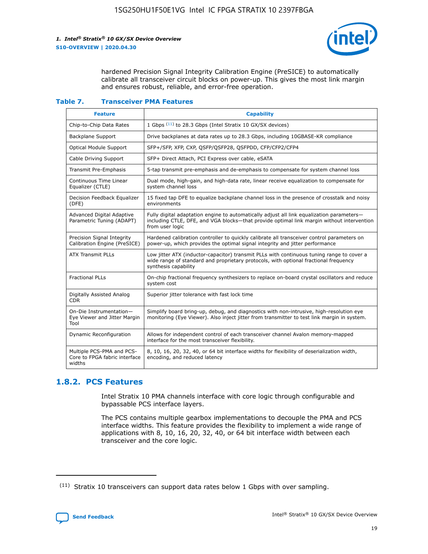

hardened Precision Signal Integrity Calibration Engine (PreSICE) to automatically calibrate all transceiver circuit blocks on power-up. This gives the most link margin and ensures robust, reliable, and error-free operation.

#### **Table 7. Transceiver PMA Features**

| <b>Feature</b>                                                       | <b>Capability</b>                                                                                                                                                                                         |
|----------------------------------------------------------------------|-----------------------------------------------------------------------------------------------------------------------------------------------------------------------------------------------------------|
| Chip-to-Chip Data Rates                                              | 1 Gbps (11) to 28.3 Gbps (Intel Stratix 10 GX/SX devices)                                                                                                                                                 |
| <b>Backplane Support</b>                                             | Drive backplanes at data rates up to 28.3 Gbps, including 10GBASE-KR compliance                                                                                                                           |
| Optical Module Support                                               | SFP+/SFP, XFP, CXP, QSFP/QSFP28, QSFPDD, CFP/CFP2/CFP4                                                                                                                                                    |
| Cable Driving Support                                                | SFP+ Direct Attach, PCI Express over cable, eSATA                                                                                                                                                         |
| <b>Transmit Pre-Emphasis</b>                                         | 5-tap transmit pre-emphasis and de-emphasis to compensate for system channel loss                                                                                                                         |
| Continuous Time Linear<br>Equalizer (CTLE)                           | Dual mode, high-gain, and high-data rate, linear receive equalization to compensate for<br>system channel loss                                                                                            |
| Decision Feedback Equalizer<br>(DFE)                                 | 15 fixed tap DFE to equalize backplane channel loss in the presence of crosstalk and noisy<br>environments                                                                                                |
| Advanced Digital Adaptive<br>Parametric Tuning (ADAPT)               | Fully digital adaptation engine to automatically adjust all link equalization parameters-<br>including CTLE, DFE, and VGA blocks—that provide optimal link margin without intervention<br>from user logic |
| Precision Signal Integrity<br>Calibration Engine (PreSICE)           | Hardened calibration controller to quickly calibrate all transceiver control parameters on<br>power-up, which provides the optimal signal integrity and jitter performance                                |
| <b>ATX Transmit PLLs</b>                                             | Low jitter ATX (inductor-capacitor) transmit PLLs with continuous tuning range to cover a<br>wide range of standard and proprietary protocols, with optional fractional frequency<br>synthesis capability |
| <b>Fractional PLLs</b>                                               | On-chip fractional frequency synthesizers to replace on-board crystal oscillators and reduce<br>system cost                                                                                               |
| Digitally Assisted Analog<br>CDR.                                    | Superior jitter tolerance with fast lock time                                                                                                                                                             |
| On-Die Instrumentation-<br>Eye Viewer and Jitter Margin<br>Tool      | Simplify board bring-up, debug, and diagnostics with non-intrusive, high-resolution eye<br>monitoring (Eye Viewer). Also inject jitter from transmitter to test link margin in system.                    |
| Dynamic Reconfiguration                                              | Allows for independent control of each transceiver channel Avalon memory-mapped<br>interface for the most transceiver flexibility.                                                                        |
| Multiple PCS-PMA and PCS-<br>Core to FPGA fabric interface<br>widths | 8, 10, 16, 20, 32, 40, or 64 bit interface widths for flexibility of deserialization width,<br>encoding, and reduced latency                                                                              |

### **1.8.2. PCS Features**

Intel Stratix 10 PMA channels interface with core logic through configurable and bypassable PCS interface layers.

The PCS contains multiple gearbox implementations to decouple the PMA and PCS interface widths. This feature provides the flexibility to implement a wide range of applications with 8, 10, 16, 20, 32, 40, or 64 bit interface width between each transceiver and the core logic.

 $(11)$  Stratix 10 transceivers can support data rates below 1 Gbps with over sampling.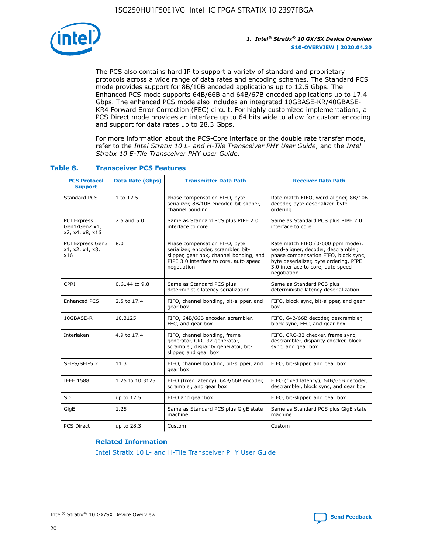

The PCS also contains hard IP to support a variety of standard and proprietary protocols across a wide range of data rates and encoding schemes. The Standard PCS mode provides support for 8B/10B encoded applications up to 12.5 Gbps. The Enhanced PCS mode supports 64B/66B and 64B/67B encoded applications up to 17.4 Gbps. The enhanced PCS mode also includes an integrated 10GBASE-KR/40GBASE-KR4 Forward Error Correction (FEC) circuit. For highly customized implementations, a PCS Direct mode provides an interface up to 64 bits wide to allow for custom encoding and support for data rates up to 28.3 Gbps.

For more information about the PCS-Core interface or the double rate transfer mode, refer to the *Intel Stratix 10 L- and H-Tile Transceiver PHY User Guide*, and the *Intel Stratix 10 E-Tile Transceiver PHY User Guide*.

| <b>PCS Protocol</b><br><b>Support</b>                  | <b>Data Rate (Gbps)</b> | <b>Transmitter Data Path</b>                                                                                                                                              | <b>Receiver Data Path</b>                                                                                                                                                                                      |
|--------------------------------------------------------|-------------------------|---------------------------------------------------------------------------------------------------------------------------------------------------------------------------|----------------------------------------------------------------------------------------------------------------------------------------------------------------------------------------------------------------|
| Standard PCS                                           | 1 to 12.5               | Phase compensation FIFO, byte<br>serializer, 8B/10B encoder, bit-slipper,<br>channel bonding                                                                              | Rate match FIFO, word-aligner, 8B/10B<br>decoder, byte deserializer, byte<br>ordering                                                                                                                          |
| <b>PCI Express</b><br>Gen1/Gen2 x1,<br>x2, x4, x8, x16 | 2.5 and 5.0             | Same as Standard PCS plus PIPE 2.0<br>interface to core                                                                                                                   | Same as Standard PCS plus PIPE 2.0<br>interface to core                                                                                                                                                        |
| PCI Express Gen3<br>x1, x2, x4, x8,<br>x16             | 8.0                     | Phase compensation FIFO, byte<br>serializer, encoder, scrambler, bit-<br>slipper, gear box, channel bonding, and<br>PIPE 3.0 interface to core, auto speed<br>negotiation | Rate match FIFO (0-600 ppm mode),<br>word-aligner, decoder, descrambler,<br>phase compensation FIFO, block sync,<br>byte deserializer, byte ordering, PIPE<br>3.0 interface to core, auto speed<br>negotiation |
| CPRI                                                   | 0.6144 to 9.8           | Same as Standard PCS plus<br>deterministic latency serialization                                                                                                          | Same as Standard PCS plus<br>deterministic latency deserialization                                                                                                                                             |
| <b>Enhanced PCS</b>                                    | 2.5 to 17.4             | FIFO, channel bonding, bit-slipper, and<br>gear box                                                                                                                       | FIFO, block sync, bit-slipper, and gear<br>box                                                                                                                                                                 |
| 10GBASE-R                                              | 10.3125                 | FIFO, 64B/66B encoder, scrambler,<br>FEC, and gear box                                                                                                                    | FIFO, 64B/66B decoder, descrambler,<br>block sync, FEC, and gear box                                                                                                                                           |
| Interlaken                                             | 4.9 to 17.4             | FIFO, channel bonding, frame<br>generator, CRC-32 generator,<br>scrambler, disparity generator, bit-<br>slipper, and gear box                                             | FIFO, CRC-32 checker, frame sync,<br>descrambler, disparity checker, block<br>sync, and gear box                                                                                                               |
| SFI-S/SFI-5.2                                          | 11.3                    | FIFO, channel bonding, bit-slipper, and<br>gear box                                                                                                                       | FIFO, bit-slipper, and gear box                                                                                                                                                                                |
| <b>IEEE 1588</b>                                       | 1.25 to 10.3125         | FIFO (fixed latency), 64B/66B encoder,<br>scrambler, and gear box                                                                                                         | FIFO (fixed latency), 64B/66B decoder,<br>descrambler, block sync, and gear box                                                                                                                                |
| SDI                                                    | up to 12.5              | FIFO and gear box                                                                                                                                                         | FIFO, bit-slipper, and gear box                                                                                                                                                                                |
| GigE                                                   | 1.25                    | Same as Standard PCS plus GigE state<br>machine                                                                                                                           | Same as Standard PCS plus GigE state<br>machine                                                                                                                                                                |
| <b>PCS Direct</b>                                      | up to 28.3              | Custom                                                                                                                                                                    | Custom                                                                                                                                                                                                         |

#### **Table 8. Transceiver PCS Features**

#### **Related Information**

[Intel Stratix 10 L- and H-Tile Transceiver PHY User Guide](https://www.altera.com/documentation/wry1479165198810.html)

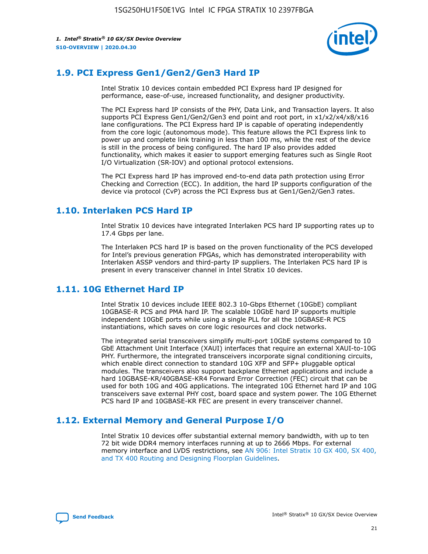

# **1.9. PCI Express Gen1/Gen2/Gen3 Hard IP**

Intel Stratix 10 devices contain embedded PCI Express hard IP designed for performance, ease-of-use, increased functionality, and designer productivity.

The PCI Express hard IP consists of the PHY, Data Link, and Transaction layers. It also supports PCI Express Gen1/Gen2/Gen3 end point and root port, in x1/x2/x4/x8/x16 lane configurations. The PCI Express hard IP is capable of operating independently from the core logic (autonomous mode). This feature allows the PCI Express link to power up and complete link training in less than 100 ms, while the rest of the device is still in the process of being configured. The hard IP also provides added functionality, which makes it easier to support emerging features such as Single Root I/O Virtualization (SR-IOV) and optional protocol extensions.

The PCI Express hard IP has improved end-to-end data path protection using Error Checking and Correction (ECC). In addition, the hard IP supports configuration of the device via protocol (CvP) across the PCI Express bus at Gen1/Gen2/Gen3 rates.

# **1.10. Interlaken PCS Hard IP**

Intel Stratix 10 devices have integrated Interlaken PCS hard IP supporting rates up to 17.4 Gbps per lane.

The Interlaken PCS hard IP is based on the proven functionality of the PCS developed for Intel's previous generation FPGAs, which has demonstrated interoperability with Interlaken ASSP vendors and third-party IP suppliers. The Interlaken PCS hard IP is present in every transceiver channel in Intel Stratix 10 devices.

# **1.11. 10G Ethernet Hard IP**

Intel Stratix 10 devices include IEEE 802.3 10-Gbps Ethernet (10GbE) compliant 10GBASE-R PCS and PMA hard IP. The scalable 10GbE hard IP supports multiple independent 10GbE ports while using a single PLL for all the 10GBASE-R PCS instantiations, which saves on core logic resources and clock networks.

The integrated serial transceivers simplify multi-port 10GbE systems compared to 10 GbE Attachment Unit Interface (XAUI) interfaces that require an external XAUI-to-10G PHY. Furthermore, the integrated transceivers incorporate signal conditioning circuits, which enable direct connection to standard 10G XFP and SFP+ pluggable optical modules. The transceivers also support backplane Ethernet applications and include a hard 10GBASE-KR/40GBASE-KR4 Forward Error Correction (FEC) circuit that can be used for both 10G and 40G applications. The integrated 10G Ethernet hard IP and 10G transceivers save external PHY cost, board space and system power. The 10G Ethernet PCS hard IP and 10GBASE-KR FEC are present in every transceiver channel.

# **1.12. External Memory and General Purpose I/O**

Intel Stratix 10 devices offer substantial external memory bandwidth, with up to ten 72 bit wide DDR4 memory interfaces running at up to 2666 Mbps. For external memory interface and LVDS restrictions, see [AN 906: Intel Stratix 10 GX 400, SX 400,](https://www.intel.com/content/www/us/en/programmable/documentation/sjf1574667190623.html#bft1574667627484) [and TX 400 Routing and Designing Floorplan Guidelines.](https://www.intel.com/content/www/us/en/programmable/documentation/sjf1574667190623.html#bft1574667627484)

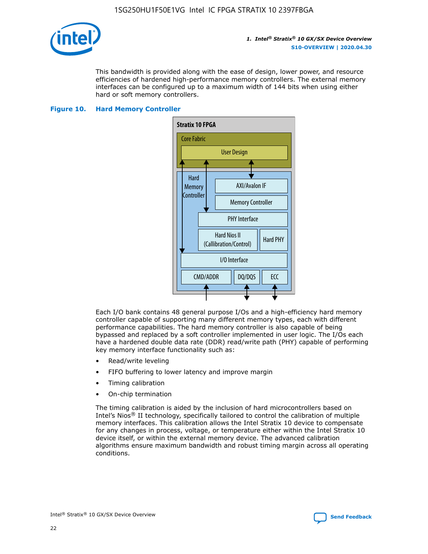

This bandwidth is provided along with the ease of design, lower power, and resource efficiencies of hardened high-performance memory controllers. The external memory interfaces can be configured up to a maximum width of 144 bits when using either hard or soft memory controllers.

#### **Figure 10. Hard Memory Controller**



Each I/O bank contains 48 general purpose I/Os and a high-efficiency hard memory controller capable of supporting many different memory types, each with different performance capabilities. The hard memory controller is also capable of being bypassed and replaced by a soft controller implemented in user logic. The I/Os each have a hardened double data rate (DDR) read/write path (PHY) capable of performing key memory interface functionality such as:

- Read/write leveling
- FIFO buffering to lower latency and improve margin
- Timing calibration
- On-chip termination

The timing calibration is aided by the inclusion of hard microcontrollers based on Intel's Nios® II technology, specifically tailored to control the calibration of multiple memory interfaces. This calibration allows the Intel Stratix 10 device to compensate for any changes in process, voltage, or temperature either within the Intel Stratix 10 device itself, or within the external memory device. The advanced calibration algorithms ensure maximum bandwidth and robust timing margin across all operating conditions.

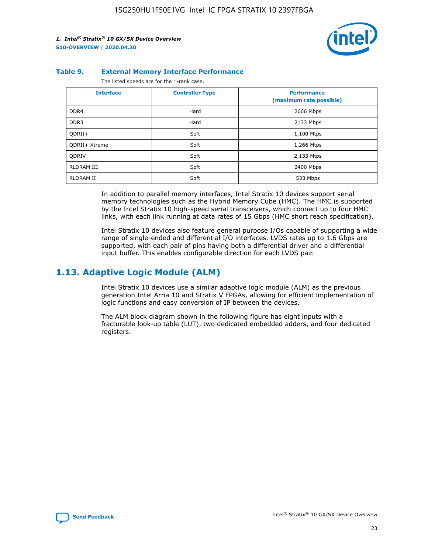

#### **Table 9. External Memory Interface Performance**

The listed speeds are for the 1-rank case.

| <b>Interface</b> | <b>Controller Type</b> | <b>Performance</b><br>(maximum rate possible) |
|------------------|------------------------|-----------------------------------------------|
| DDR4             | Hard                   | 2666 Mbps                                     |
| DDR <sub>3</sub> | Hard                   | 2133 Mbps                                     |
| QDRII+           | Soft                   | 1,100 Mtps                                    |
| QDRII+ Xtreme    | Soft                   | 1,266 Mtps                                    |
| <b>ODRIV</b>     | Soft                   | 2,133 Mtps                                    |
| RLDRAM III       | Soft                   | 2400 Mbps                                     |
| <b>RLDRAM II</b> | Soft                   | 533 Mbps                                      |

In addition to parallel memory interfaces, Intel Stratix 10 devices support serial memory technologies such as the Hybrid Memory Cube (HMC). The HMC is supported by the Intel Stratix 10 high-speed serial transceivers, which connect up to four HMC links, with each link running at data rates of 15 Gbps (HMC short reach specification).

Intel Stratix 10 devices also feature general purpose I/Os capable of supporting a wide range of single-ended and differential I/O interfaces. LVDS rates up to 1.6 Gbps are supported, with each pair of pins having both a differential driver and a differential input buffer. This enables configurable direction for each LVDS pair.

### **1.13. Adaptive Logic Module (ALM)**

Intel Stratix 10 devices use a similar adaptive logic module (ALM) as the previous generation Intel Arria 10 and Stratix V FPGAs, allowing for efficient implementation of logic functions and easy conversion of IP between the devices.

The ALM block diagram shown in the following figure has eight inputs with a fracturable look-up table (LUT), two dedicated embedded adders, and four dedicated registers.

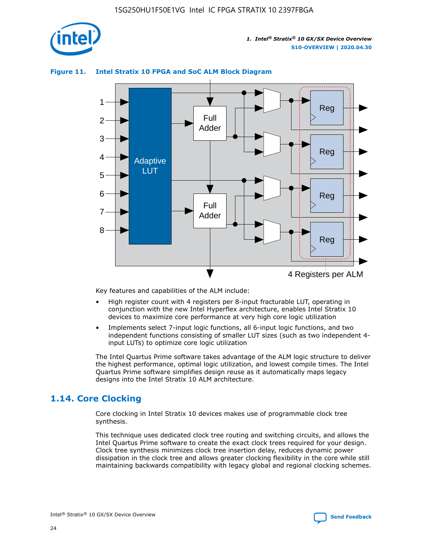

# Reg Reg 1 2 3 4 5 6 7 8 Reg Reg 4 Registers per ALM Full Adder Full Adder Adaptive **LUT**

#### **Figure 11. Intel Stratix 10 FPGA and SoC ALM Block Diagram**

Key features and capabilities of the ALM include:

- High register count with 4 registers per 8-input fracturable LUT, operating in conjunction with the new Intel Hyperflex architecture, enables Intel Stratix 10 devices to maximize core performance at very high core logic utilization
- Implements select 7-input logic functions, all 6-input logic functions, and two independent functions consisting of smaller LUT sizes (such as two independent 4 input LUTs) to optimize core logic utilization

The Intel Quartus Prime software takes advantage of the ALM logic structure to deliver the highest performance, optimal logic utilization, and lowest compile times. The Intel Quartus Prime software simplifies design reuse as it automatically maps legacy designs into the Intel Stratix 10 ALM architecture.

# **1.14. Core Clocking**

Core clocking in Intel Stratix 10 devices makes use of programmable clock tree synthesis.

This technique uses dedicated clock tree routing and switching circuits, and allows the Intel Quartus Prime software to create the exact clock trees required for your design. Clock tree synthesis minimizes clock tree insertion delay, reduces dynamic power dissipation in the clock tree and allows greater clocking flexibility in the core while still maintaining backwards compatibility with legacy global and regional clocking schemes.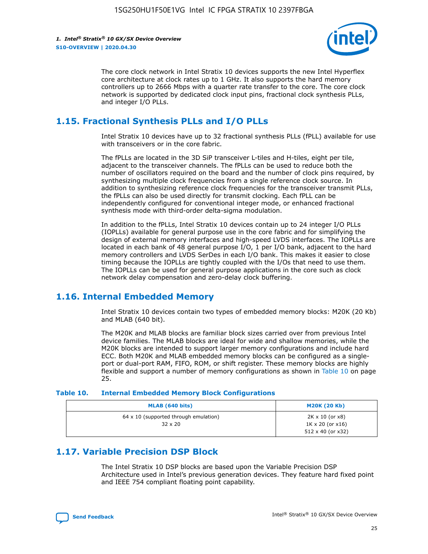

The core clock network in Intel Stratix 10 devices supports the new Intel Hyperflex core architecture at clock rates up to 1 GHz. It also supports the hard memory controllers up to 2666 Mbps with a quarter rate transfer to the core. The core clock network is supported by dedicated clock input pins, fractional clock synthesis PLLs, and integer I/O PLLs.

# **1.15. Fractional Synthesis PLLs and I/O PLLs**

Intel Stratix 10 devices have up to 32 fractional synthesis PLLs (fPLL) available for use with transceivers or in the core fabric.

The fPLLs are located in the 3D SiP transceiver L-tiles and H-tiles, eight per tile, adjacent to the transceiver channels. The fPLLs can be used to reduce both the number of oscillators required on the board and the number of clock pins required, by synthesizing multiple clock frequencies from a single reference clock source. In addition to synthesizing reference clock frequencies for the transceiver transmit PLLs, the fPLLs can also be used directly for transmit clocking. Each fPLL can be independently configured for conventional integer mode, or enhanced fractional synthesis mode with third-order delta-sigma modulation.

In addition to the fPLLs, Intel Stratix 10 devices contain up to 24 integer I/O PLLs (IOPLLs) available for general purpose use in the core fabric and for simplifying the design of external memory interfaces and high-speed LVDS interfaces. The IOPLLs are located in each bank of 48 general purpose I/O, 1 per I/O bank, adjacent to the hard memory controllers and LVDS SerDes in each I/O bank. This makes it easier to close timing because the IOPLLs are tightly coupled with the I/Os that need to use them. The IOPLLs can be used for general purpose applications in the core such as clock network delay compensation and zero-delay clock buffering.

# **1.16. Internal Embedded Memory**

Intel Stratix 10 devices contain two types of embedded memory blocks: M20K (20 Kb) and MLAB (640 bit).

The M20K and MLAB blocks are familiar block sizes carried over from previous Intel device families. The MLAB blocks are ideal for wide and shallow memories, while the M20K blocks are intended to support larger memory configurations and include hard ECC. Both M20K and MLAB embedded memory blocks can be configured as a singleport or dual-port RAM, FIFO, ROM, or shift register. These memory blocks are highly flexible and support a number of memory configurations as shown in Table 10 on page 25.

#### **Table 10. Internal Embedded Memory Block Configurations**

| MLAB (640 bits)                                                | <b>M20K (20 Kb)</b>                                                                    |
|----------------------------------------------------------------|----------------------------------------------------------------------------------------|
| $64 \times 10$ (supported through emulation)<br>$32 \times 20$ | $2K \times 10$ (or $x8$ )<br>$1K \times 20$ (or $x16$ )<br>$512 \times 40$ (or $x32$ ) |

# **1.17. Variable Precision DSP Block**

The Intel Stratix 10 DSP blocks are based upon the Variable Precision DSP Architecture used in Intel's previous generation devices. They feature hard fixed point and IEEE 754 compliant floating point capability.

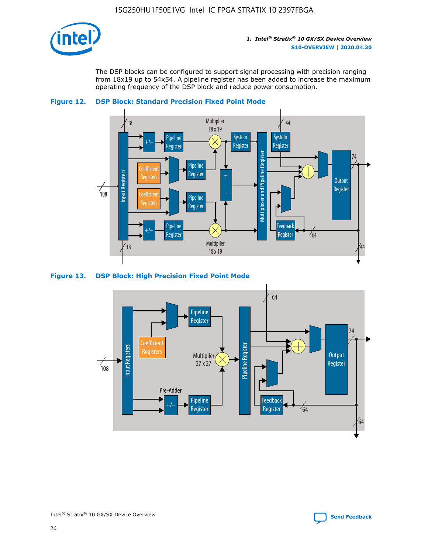

The DSP blocks can be configured to support signal processing with precision ranging from 18x19 up to 54x54. A pipeline register has been added to increase the maximum operating frequency of the DSP block and reduce power consumption.





#### **Figure 13. DSP Block: High Precision Fixed Point Mode**

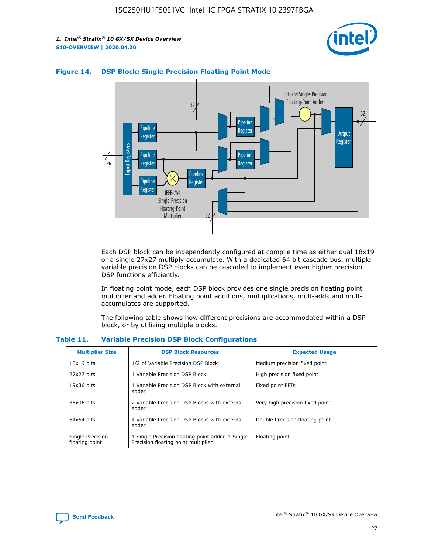



#### **Figure 14. DSP Block: Single Precision Floating Point Mode**

Each DSP block can be independently configured at compile time as either dual 18x19 or a single 27x27 multiply accumulate. With a dedicated 64 bit cascade bus, multiple variable precision DSP blocks can be cascaded to implement even higher precision DSP functions efficiently.

In floating point mode, each DSP block provides one single precision floating point multiplier and adder. Floating point additions, multiplications, mult-adds and multaccumulates are supported.

The following table shows how different precisions are accommodated within a DSP block, or by utilizing multiple blocks.

| <b>Multiplier Size</b>             | <b>DSP Block Resources</b>                                                               | <b>Expected Usage</b>           |
|------------------------------------|------------------------------------------------------------------------------------------|---------------------------------|
| $18x19$ bits                       | 1/2 of Variable Precision DSP Block                                                      | Medium precision fixed point    |
| 27x27 bits                         | 1 Variable Precision DSP Block                                                           | High precision fixed point      |
| $19x36$ bits                       | 1 Variable Precision DSP Block with external<br>adder                                    | Fixed point FFTs                |
| 36x36 bits                         | 2 Variable Precision DSP Blocks with external<br>adder                                   | Very high precision fixed point |
| 54x54 bits                         | 4 Variable Precision DSP Blocks with external<br>adder                                   | Double Precision floating point |
| Single Precision<br>floating point | 1 Single Precision floating point adder, 1 Single<br>Precision floating point multiplier | Floating point                  |

#### **Table 11. Variable Precision DSP Block Configurations**

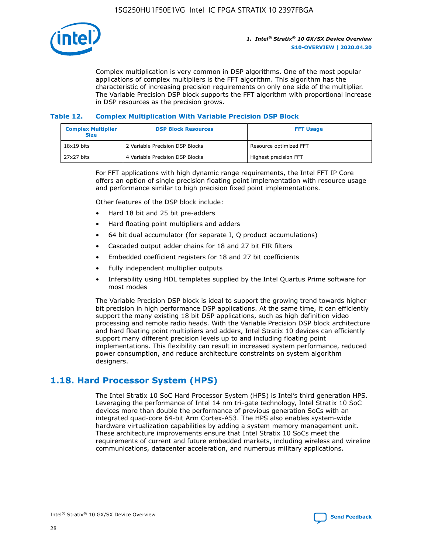

Complex multiplication is very common in DSP algorithms. One of the most popular applications of complex multipliers is the FFT algorithm. This algorithm has the characteristic of increasing precision requirements on only one side of the multiplier. The Variable Precision DSP block supports the FFT algorithm with proportional increase in DSP resources as the precision grows.

#### **Table 12. Complex Multiplication With Variable Precision DSP Block**

| <b>Complex Multiplier</b><br><b>Size</b> | <b>DSP Block Resources</b>      | <b>FFT Usage</b>       |
|------------------------------------------|---------------------------------|------------------------|
| $18x19$ bits                             | 2 Variable Precision DSP Blocks | Resource optimized FFT |
| $27x27$ bits                             | 4 Variable Precision DSP Blocks | Highest precision FFT  |

For FFT applications with high dynamic range requirements, the Intel FFT IP Core offers an option of single precision floating point implementation with resource usage and performance similar to high precision fixed point implementations.

Other features of the DSP block include:

- Hard 18 bit and 25 bit pre-adders
- Hard floating point multipliers and adders
- 64 bit dual accumulator (for separate I, Q product accumulations)
- Cascaded output adder chains for 18 and 27 bit FIR filters
- Embedded coefficient registers for 18 and 27 bit coefficients
- Fully independent multiplier outputs
- Inferability using HDL templates supplied by the Intel Quartus Prime software for most modes

The Variable Precision DSP block is ideal to support the growing trend towards higher bit precision in high performance DSP applications. At the same time, it can efficiently support the many existing 18 bit DSP applications, such as high definition video processing and remote radio heads. With the Variable Precision DSP block architecture and hard floating point multipliers and adders, Intel Stratix 10 devices can efficiently support many different precision levels up to and including floating point implementations. This flexibility can result in increased system performance, reduced power consumption, and reduce architecture constraints on system algorithm designers.

# **1.18. Hard Processor System (HPS)**

The Intel Stratix 10 SoC Hard Processor System (HPS) is Intel's third generation HPS. Leveraging the performance of Intel 14 nm tri-gate technology, Intel Stratix 10 SoC devices more than double the performance of previous generation SoCs with an integrated quad-core 64-bit Arm Cortex-A53. The HPS also enables system-wide hardware virtualization capabilities by adding a system memory management unit. These architecture improvements ensure that Intel Stratix 10 SoCs meet the requirements of current and future embedded markets, including wireless and wireline communications, datacenter acceleration, and numerous military applications.

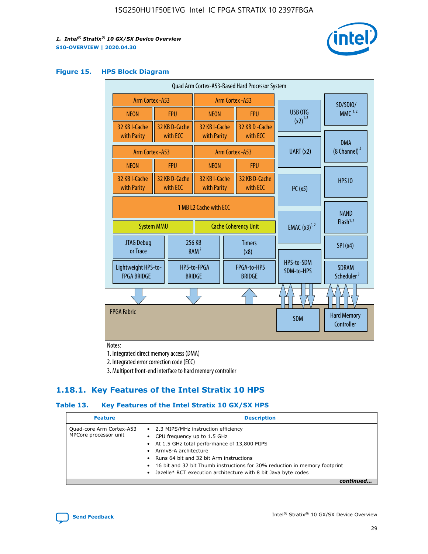

#### **Figure 15. HPS Block Diagram**

| Quad Arm Cortex-A53-Based Hard Processor System                            |  |                           |                                             |                                     |                             |                          |                                        |
|----------------------------------------------------------------------------|--|---------------------------|---------------------------------------------|-------------------------------------|-----------------------------|--------------------------|----------------------------------------|
| <b>Arm Cortex - A53</b>                                                    |  | Arm Cortex - A53          |                                             |                                     |                             |                          | SD/SDIO/                               |
| <b>NEON</b>                                                                |  | <b>FPU</b>                | <b>NEON</b>                                 |                                     | <b>FPU</b>                  | USB OTG                  | $MMC$ <sup>1,2</sup>                   |
| 32 KB I-Cache<br>with Parity                                               |  | 32 KB D-Cache<br>with ECC | 32 KB I-Cache<br>with Parity                |                                     | 32 KB D - Cache<br>with ECC | $(x2)^{1,2}$             |                                        |
|                                                                            |  |                           |                                             |                                     |                             | UART (x2)                | <b>DMA</b><br>$(8 \text{ Channel})^2$  |
| Arm Cortex - A53                                                           |  |                           |                                             |                                     | Arm Cortex - A53            |                          |                                        |
| <b>NEON</b>                                                                |  | <b>FPU</b>                | <b>NEON</b>                                 |                                     | <b>FPU</b>                  |                          |                                        |
| 32 KB I-Cache<br>with Parity                                               |  | 32 KB D-Cache<br>with ECC | 32 KB I-Cache<br>with ECC<br>with Parity    |                                     | 32 KB D-Cache               | I <sup>2</sup> C(x5)     | <b>HPS 10</b>                          |
| 1 MB L2 Cache with ECC<br><b>Cache Coherency Unit</b><br><b>System MMU</b> |  |                           | <b>EMAC</b> $(x3)^{1,2}$                    | <b>NAND</b><br>Flash <sup>1,2</sup> |                             |                          |                                        |
| JTAG Debug<br>or Trace                                                     |  | 256 KB                    | <b>Timers</b><br>RAM <sup>2</sup><br>(x8)   |                                     |                             |                          | SPI(x4)                                |
| Lightweight HPS-to-<br><b>FPGA BRIDGE</b>                                  |  | <b>BRIDGE</b>             | HPS-to-FPGA<br>FPGA-to-HPS<br><b>BRIDGE</b> |                                     |                             | HPS-to-SDM<br>SDM-to-HPS | <b>SDRAM</b><br>Scheduler <sup>3</sup> |
|                                                                            |  |                           |                                             |                                     |                             |                          |                                        |
| <b>FPGA Fabric</b>                                                         |  |                           |                                             |                                     |                             | <b>SDM</b>               | <b>Hard Memory</b><br>Controller       |

Notes:

1. Integrated direct memory access (DMA)

2. Integrated error correction code (ECC)

3. Multiport front-end interface to hard memory controller

### **1.18.1. Key Features of the Intel Stratix 10 HPS**

#### **Table 13. Key Features of the Intel Stratix 10 GX/SX HPS**

| <b>Feature</b>                                    | <b>Description</b>                                                                                                                                                                                                                                                                                                                                     |
|---------------------------------------------------|--------------------------------------------------------------------------------------------------------------------------------------------------------------------------------------------------------------------------------------------------------------------------------------------------------------------------------------------------------|
| Quad-core Arm Cortex-A53<br>MPCore processor unit | 2.3 MIPS/MHz instruction efficiency<br>$\bullet$<br>CPU frequency up to 1.5 GHz<br>٠<br>At 1.5 GHz total performance of 13,800 MIPS<br>Army8-A architecture<br>Runs 64 bit and 32 bit Arm instructions<br>16 bit and 32 bit Thumb instructions for 30% reduction in memory footprint<br>Jazelle* RCT execution architecture with 8 bit Java byte codes |
|                                                   |                                                                                                                                                                                                                                                                                                                                                        |

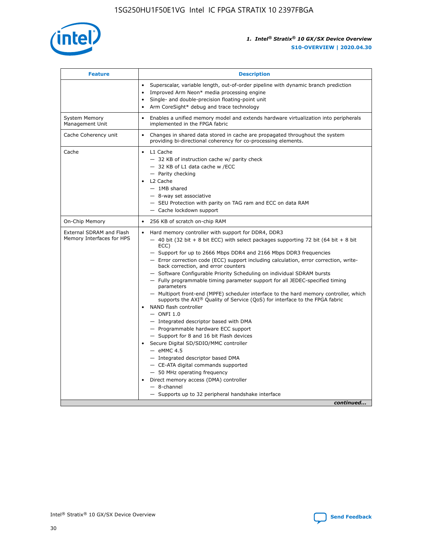

| <b>Feature</b>                                        | <b>Description</b>                                                                                                                                                                                                                                                                                                                                                                                                                                                                                                                                                                                                                                                                                                                                                                                                                                                                                                                                                                                                                                                                                                                                                                                               |
|-------------------------------------------------------|------------------------------------------------------------------------------------------------------------------------------------------------------------------------------------------------------------------------------------------------------------------------------------------------------------------------------------------------------------------------------------------------------------------------------------------------------------------------------------------------------------------------------------------------------------------------------------------------------------------------------------------------------------------------------------------------------------------------------------------------------------------------------------------------------------------------------------------------------------------------------------------------------------------------------------------------------------------------------------------------------------------------------------------------------------------------------------------------------------------------------------------------------------------------------------------------------------------|
|                                                       | Superscalar, variable length, out-of-order pipeline with dynamic branch prediction<br>Improved Arm Neon* media processing engine<br>Single- and double-precision floating-point unit<br>Arm CoreSight* debug and trace technology<br>٠                                                                                                                                                                                                                                                                                                                                                                                                                                                                                                                                                                                                                                                                                                                                                                                                                                                                                                                                                                           |
| <b>System Memory</b><br>Management Unit               | Enables a unified memory model and extends hardware virtualization into peripherals<br>implemented in the FPGA fabric                                                                                                                                                                                                                                                                                                                                                                                                                                                                                                                                                                                                                                                                                                                                                                                                                                                                                                                                                                                                                                                                                            |
| Cache Coherency unit                                  | Changes in shared data stored in cache are propagated throughout the system<br>$\bullet$<br>providing bi-directional coherency for co-processing elements.                                                                                                                                                                                                                                                                                                                                                                                                                                                                                                                                                                                                                                                                                                                                                                                                                                                                                                                                                                                                                                                       |
| Cache                                                 | L1 Cache<br>$\bullet$<br>- 32 KB of instruction cache w/ parity check<br>- 32 KB of L1 data cache w /ECC<br>- Parity checking<br>L <sub>2</sub> Cache<br>$-$ 1MB shared<br>$-$ 8-way set associative<br>- SEU Protection with parity on TAG ram and ECC on data RAM<br>- Cache lockdown support                                                                                                                                                                                                                                                                                                                                                                                                                                                                                                                                                                                                                                                                                                                                                                                                                                                                                                                  |
| On-Chip Memory                                        | 256 KB of scratch on-chip RAM                                                                                                                                                                                                                                                                                                                                                                                                                                                                                                                                                                                                                                                                                                                                                                                                                                                                                                                                                                                                                                                                                                                                                                                    |
| External SDRAM and Flash<br>Memory Interfaces for HPS | Hard memory controller with support for DDR4, DDR3<br>$\bullet$<br>$-$ 40 bit (32 bit + 8 bit ECC) with select packages supporting 72 bit (64 bit + 8 bit<br>ECC)<br>- Support for up to 2666 Mbps DDR4 and 2166 Mbps DDR3 frequencies<br>- Error correction code (ECC) support including calculation, error correction, write-<br>back correction, and error counters<br>- Software Configurable Priority Scheduling on individual SDRAM bursts<br>- Fully programmable timing parameter support for all JEDEC-specified timing<br>parameters<br>- Multiport front-end (MPFE) scheduler interface to the hard memory controller, which<br>supports the $AXI^{\circledR}$ Quality of Service (QoS) for interface to the FPGA fabric<br>NAND flash controller<br>$-$ ONFI 1.0<br>- Integrated descriptor based with DMA<br>- Programmable hardware ECC support<br>- Support for 8 and 16 bit Flash devices<br>Secure Digital SD/SDIO/MMC controller<br>$-$ eMMC 4.5<br>- Integrated descriptor based DMA<br>- CE-ATA digital commands supported<br>- 50 MHz operating frequency<br>Direct memory access (DMA) controller<br>٠<br>$-$ 8-channel<br>- Supports up to 32 peripheral handshake interface<br>continued |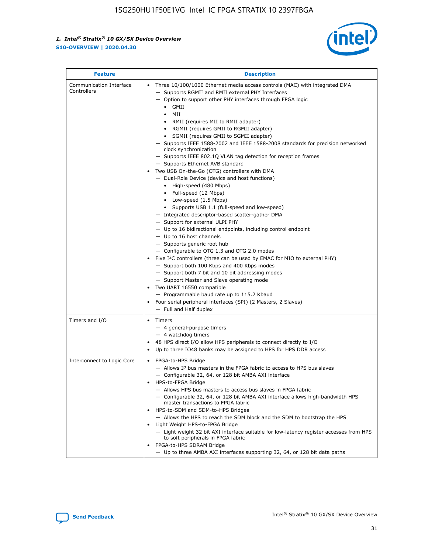

| <b>Feature</b>                         | <b>Description</b>                                                                                                                                                                                                                                                                                                                                                                                                                                                                                                                                                                                                                                                                                                                                                                                                                                                                                                                                                                                                                                                                                                                                                                                                                                                                                                                                                                                                                                                                                                  |
|----------------------------------------|---------------------------------------------------------------------------------------------------------------------------------------------------------------------------------------------------------------------------------------------------------------------------------------------------------------------------------------------------------------------------------------------------------------------------------------------------------------------------------------------------------------------------------------------------------------------------------------------------------------------------------------------------------------------------------------------------------------------------------------------------------------------------------------------------------------------------------------------------------------------------------------------------------------------------------------------------------------------------------------------------------------------------------------------------------------------------------------------------------------------------------------------------------------------------------------------------------------------------------------------------------------------------------------------------------------------------------------------------------------------------------------------------------------------------------------------------------------------------------------------------------------------|
| Communication Interface<br>Controllers | Three 10/100/1000 Ethernet media access controls (MAC) with integrated DMA<br>$\bullet$<br>- Supports RGMII and RMII external PHY Interfaces<br>- Option to support other PHY interfaces through FPGA logic<br>GMII<br>$\bullet$<br>MII<br>$\bullet$<br>• RMII (requires MII to RMII adapter)<br>• RGMII (requires GMII to RGMII adapter)<br>• SGMII (requires GMII to SGMII adapter)<br>- Supports IEEE 1588-2002 and IEEE 1588-2008 standards for precision networked<br>clock synchronization<br>- Supports IEEE 802.1Q VLAN tag detection for reception frames<br>- Supports Ethernet AVB standard<br>Two USB On-the-Go (OTG) controllers with DMA<br>- Dual-Role Device (device and host functions)<br>• High-speed (480 Mbps)<br>• Full-speed (12 Mbps)<br>• Low-speed (1.5 Mbps)<br>• Supports USB 1.1 (full-speed and low-speed)<br>- Integrated descriptor-based scatter-gather DMA<br>- Support for external ULPI PHY<br>- Up to 16 bidirectional endpoints, including control endpoint<br>$-$ Up to 16 host channels<br>- Supports generic root hub<br>- Configurable to OTG 1.3 and OTG 2.0 modes<br>Five $I^2C$ controllers (three can be used by EMAC for MIO to external PHY)<br>- Support both 100 Kbps and 400 Kbps modes<br>- Support both 7 bit and 10 bit addressing modes<br>- Support Master and Slave operating mode<br>Two UART 16550 compatible<br>- Programmable baud rate up to 115.2 Kbaud<br>• Four serial peripheral interfaces (SPI) (2 Masters, 2 Slaves)<br>- Full and Half duplex |
| Timers and I/O                         | $\bullet$ Timers<br>- 4 general-purpose timers<br>$-4$ watchdog timers<br>48 HPS direct I/O allow HPS peripherals to connect directly to I/O<br>Up to three IO48 banks may be assigned to HPS for HPS DDR access                                                                                                                                                                                                                                                                                                                                                                                                                                                                                                                                                                                                                                                                                                                                                                                                                                                                                                                                                                                                                                                                                                                                                                                                                                                                                                    |
| Interconnect to Logic Core             | • FPGA-to-HPS Bridge<br>- Allows IP bus masters in the FPGA fabric to access to HPS bus slaves<br>- Configurable 32, 64, or 128 bit AMBA AXI interface<br>HPS-to-FPGA Bridge<br>- Allows HPS bus masters to access bus slaves in FPGA fabric<br>- Configurable 32, 64, or 128 bit AMBA AXI interface allows high-bandwidth HPS<br>master transactions to FPGA fabric<br>HPS-to-SDM and SDM-to-HPS Bridges<br>- Allows the HPS to reach the SDM block and the SDM to bootstrap the HPS<br>Light Weight HPS-to-FPGA Bridge<br>- Light weight 32 bit AXI interface suitable for low-latency register accesses from HPS<br>to soft peripherals in FPGA fabric<br>FPGA-to-HPS SDRAM Bridge<br>- Up to three AMBA AXI interfaces supporting 32, 64, or 128 bit data paths                                                                                                                                                                                                                                                                                                                                                                                                                                                                                                                                                                                                                                                                                                                                                 |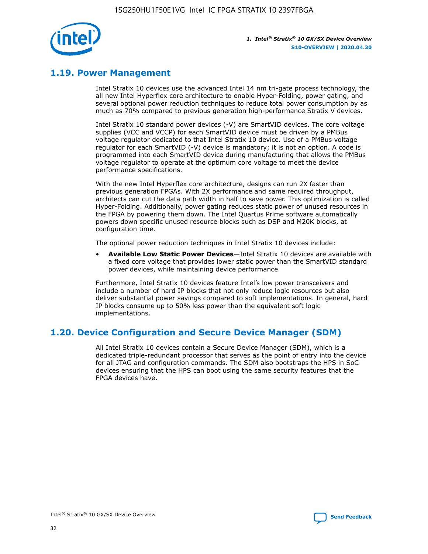

# **1.19. Power Management**

Intel Stratix 10 devices use the advanced Intel 14 nm tri-gate process technology, the all new Intel Hyperflex core architecture to enable Hyper-Folding, power gating, and several optional power reduction techniques to reduce total power consumption by as much as 70% compared to previous generation high-performance Stratix V devices.

Intel Stratix 10 standard power devices (-V) are SmartVID devices. The core voltage supplies (VCC and VCCP) for each SmartVID device must be driven by a PMBus voltage regulator dedicated to that Intel Stratix 10 device. Use of a PMBus voltage regulator for each SmartVID (-V) device is mandatory; it is not an option. A code is programmed into each SmartVID device during manufacturing that allows the PMBus voltage regulator to operate at the optimum core voltage to meet the device performance specifications.

With the new Intel Hyperflex core architecture, designs can run 2X faster than previous generation FPGAs. With 2X performance and same required throughput, architects can cut the data path width in half to save power. This optimization is called Hyper-Folding. Additionally, power gating reduces static power of unused resources in the FPGA by powering them down. The Intel Quartus Prime software automatically powers down specific unused resource blocks such as DSP and M20K blocks, at configuration time.

The optional power reduction techniques in Intel Stratix 10 devices include:

• **Available Low Static Power Devices**—Intel Stratix 10 devices are available with a fixed core voltage that provides lower static power than the SmartVID standard power devices, while maintaining device performance

Furthermore, Intel Stratix 10 devices feature Intel's low power transceivers and include a number of hard IP blocks that not only reduce logic resources but also deliver substantial power savings compared to soft implementations. In general, hard IP blocks consume up to 50% less power than the equivalent soft logic implementations.

# **1.20. Device Configuration and Secure Device Manager (SDM)**

All Intel Stratix 10 devices contain a Secure Device Manager (SDM), which is a dedicated triple-redundant processor that serves as the point of entry into the device for all JTAG and configuration commands. The SDM also bootstraps the HPS in SoC devices ensuring that the HPS can boot using the same security features that the FPGA devices have.

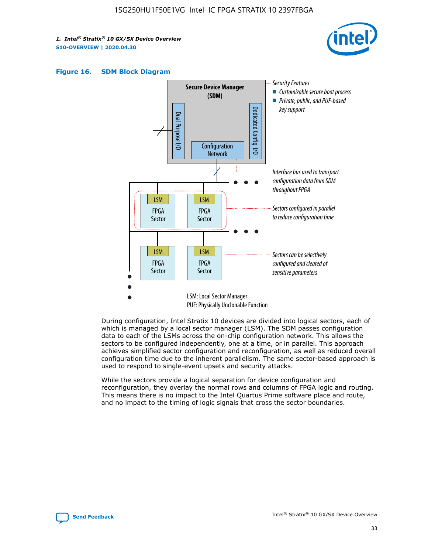





During configuration, Intel Stratix 10 devices are divided into logical sectors, each of which is managed by a local sector manager (LSM). The SDM passes configuration data to each of the LSMs across the on-chip configuration network. This allows the sectors to be configured independently, one at a time, or in parallel. This approach achieves simplified sector configuration and reconfiguration, as well as reduced overall configuration time due to the inherent parallelism. The same sector-based approach is used to respond to single-event upsets and security attacks.

While the sectors provide a logical separation for device configuration and reconfiguration, they overlay the normal rows and columns of FPGA logic and routing. This means there is no impact to the Intel Quartus Prime software place and route, and no impact to the timing of logic signals that cross the sector boundaries.

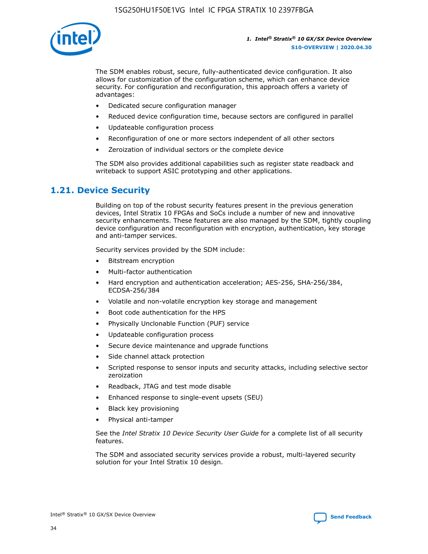

The SDM enables robust, secure, fully-authenticated device configuration. It also allows for customization of the configuration scheme, which can enhance device security. For configuration and reconfiguration, this approach offers a variety of advantages:

- Dedicated secure configuration manager
- Reduced device configuration time, because sectors are configured in parallel
- Updateable configuration process
- Reconfiguration of one or more sectors independent of all other sectors
- Zeroization of individual sectors or the complete device

The SDM also provides additional capabilities such as register state readback and writeback to support ASIC prototyping and other applications.

### **1.21. Device Security**

Building on top of the robust security features present in the previous generation devices, Intel Stratix 10 FPGAs and SoCs include a number of new and innovative security enhancements. These features are also managed by the SDM, tightly coupling device configuration and reconfiguration with encryption, authentication, key storage and anti-tamper services.

Security services provided by the SDM include:

- Bitstream encryption
- Multi-factor authentication
- Hard encryption and authentication acceleration; AES-256, SHA-256/384, ECDSA-256/384
- Volatile and non-volatile encryption key storage and management
- Boot code authentication for the HPS
- Physically Unclonable Function (PUF) service
- Updateable configuration process
- Secure device maintenance and upgrade functions
- Side channel attack protection
- Scripted response to sensor inputs and security attacks, including selective sector zeroization
- Readback, JTAG and test mode disable
- Enhanced response to single-event upsets (SEU)
- Black key provisioning
- Physical anti-tamper

See the *Intel Stratix 10 Device Security User Guide* for a complete list of all security features.

The SDM and associated security services provide a robust, multi-layered security solution for your Intel Stratix 10 design.

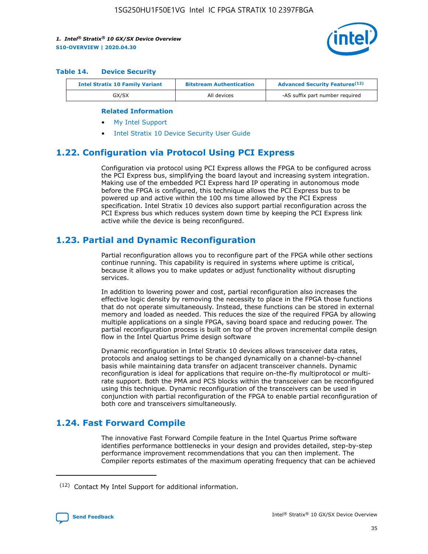

#### **Table 14. Device Security**

| <b>Intel Stratix 10 Family Variant</b> | <b>Bitstream Authentication</b> | <b>Advanced Security Features</b> <sup>(12)</sup> |
|----------------------------------------|---------------------------------|---------------------------------------------------|
| GX/SX                                  | All devices                     | -AS suffix part number required                   |

#### **Related Information**

- [My Intel Support](https://www.intel.com/content/www/us/en/programmable/my-intel/mal-home.html)
- [Intel Stratix 10 Device Security User Guide](https://www.intel.com/content/www/us/en/programmable/documentation/ndq1483601370898.html#wcd1483611014402)

# **1.22. Configuration via Protocol Using PCI Express**

Configuration via protocol using PCI Express allows the FPGA to be configured across the PCI Express bus, simplifying the board layout and increasing system integration. Making use of the embedded PCI Express hard IP operating in autonomous mode before the FPGA is configured, this technique allows the PCI Express bus to be powered up and active within the 100 ms time allowed by the PCI Express specification. Intel Stratix 10 devices also support partial reconfiguration across the PCI Express bus which reduces system down time by keeping the PCI Express link active while the device is being reconfigured.

# **1.23. Partial and Dynamic Reconfiguration**

Partial reconfiguration allows you to reconfigure part of the FPGA while other sections continue running. This capability is required in systems where uptime is critical, because it allows you to make updates or adjust functionality without disrupting services.

In addition to lowering power and cost, partial reconfiguration also increases the effective logic density by removing the necessity to place in the FPGA those functions that do not operate simultaneously. Instead, these functions can be stored in external memory and loaded as needed. This reduces the size of the required FPGA by allowing multiple applications on a single FPGA, saving board space and reducing power. The partial reconfiguration process is built on top of the proven incremental compile design flow in the Intel Quartus Prime design software

Dynamic reconfiguration in Intel Stratix 10 devices allows transceiver data rates, protocols and analog settings to be changed dynamically on a channel-by-channel basis while maintaining data transfer on adjacent transceiver channels. Dynamic reconfiguration is ideal for applications that require on-the-fly multiprotocol or multirate support. Both the PMA and PCS blocks within the transceiver can be reconfigured using this technique. Dynamic reconfiguration of the transceivers can be used in conjunction with partial reconfiguration of the FPGA to enable partial reconfiguration of both core and transceivers simultaneously.

# **1.24. Fast Forward Compile**

The innovative Fast Forward Compile feature in the Intel Quartus Prime software identifies performance bottlenecks in your design and provides detailed, step-by-step performance improvement recommendations that you can then implement. The Compiler reports estimates of the maximum operating frequency that can be achieved

<sup>(12)</sup> Contact My Intel Support for additional information.

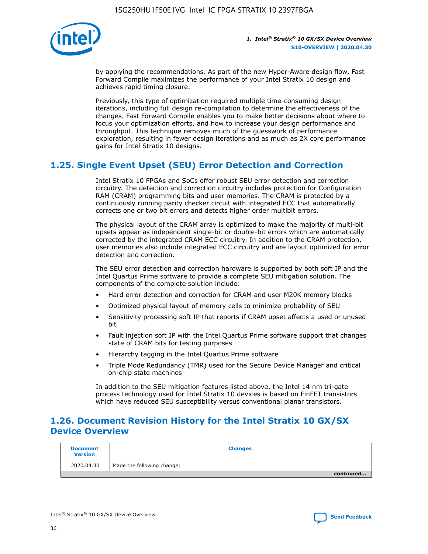

by applying the recommendations. As part of the new Hyper-Aware design flow, Fast Forward Compile maximizes the performance of your Intel Stratix 10 design and achieves rapid timing closure.

Previously, this type of optimization required multiple time-consuming design iterations, including full design re-compilation to determine the effectiveness of the changes. Fast Forward Compile enables you to make better decisions about where to focus your optimization efforts, and how to increase your design performance and throughput. This technique removes much of the guesswork of performance exploration, resulting in fewer design iterations and as much as 2X core performance gains for Intel Stratix 10 designs.

# **1.25. Single Event Upset (SEU) Error Detection and Correction**

Intel Stratix 10 FPGAs and SoCs offer robust SEU error detection and correction circuitry. The detection and correction circuitry includes protection for Configuration RAM (CRAM) programming bits and user memories. The CRAM is protected by a continuously running parity checker circuit with integrated ECC that automatically corrects one or two bit errors and detects higher order multibit errors.

The physical layout of the CRAM array is optimized to make the majority of multi-bit upsets appear as independent single-bit or double-bit errors which are automatically corrected by the integrated CRAM ECC circuitry. In addition to the CRAM protection, user memories also include integrated ECC circuitry and are layout optimized for error detection and correction.

The SEU error detection and correction hardware is supported by both soft IP and the Intel Quartus Prime software to provide a complete SEU mitigation solution. The components of the complete solution include:

- Hard error detection and correction for CRAM and user M20K memory blocks
- Optimized physical layout of memory cells to minimize probability of SEU
- Sensitivity processing soft IP that reports if CRAM upset affects a used or unused bit
- Fault injection soft IP with the Intel Quartus Prime software support that changes state of CRAM bits for testing purposes
- Hierarchy tagging in the Intel Quartus Prime software
- Triple Mode Redundancy (TMR) used for the Secure Device Manager and critical on-chip state machines

In addition to the SEU mitigation features listed above, the Intel 14 nm tri-gate process technology used for Intel Stratix 10 devices is based on FinFET transistors which have reduced SEU susceptibility versus conventional planar transistors.

# **1.26. Document Revision History for the Intel Stratix 10 GX/SX Device Overview**

| <b>Document</b><br><b>Version</b> | <b>Changes</b>             |
|-----------------------------------|----------------------------|
| 2020.04.30                        | Made the following change: |
|                                   | continued                  |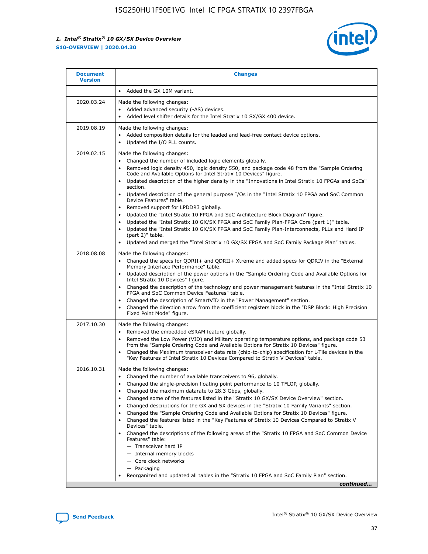

| • Added the GX 10M variant.<br>Made the following changes:<br>Added advanced security (-AS) devices.<br>$\bullet$<br>Added level shifter details for the Intel Stratix 10 SX/GX 400 device.<br>$\bullet$<br>Made the following changes:<br>Added composition details for the leaded and lead-free contact device options.                                                                                                                                                                                                                                                                                                                                                                                                                                                                                                                                                                                                                                                                                                     |
|-------------------------------------------------------------------------------------------------------------------------------------------------------------------------------------------------------------------------------------------------------------------------------------------------------------------------------------------------------------------------------------------------------------------------------------------------------------------------------------------------------------------------------------------------------------------------------------------------------------------------------------------------------------------------------------------------------------------------------------------------------------------------------------------------------------------------------------------------------------------------------------------------------------------------------------------------------------------------------------------------------------------------------|
|                                                                                                                                                                                                                                                                                                                                                                                                                                                                                                                                                                                                                                                                                                                                                                                                                                                                                                                                                                                                                               |
|                                                                                                                                                                                                                                                                                                                                                                                                                                                                                                                                                                                                                                                                                                                                                                                                                                                                                                                                                                                                                               |
| Updated the I/O PLL counts.<br>$\bullet$                                                                                                                                                                                                                                                                                                                                                                                                                                                                                                                                                                                                                                                                                                                                                                                                                                                                                                                                                                                      |
| Made the following changes:<br>Changed the number of included logic elements globally.<br>$\bullet$<br>Removed logic density 450, logic density 550, and package code 48 from the "Sample Ordering<br>$\bullet$<br>Code and Available Options for Intel Stratix 10 Devices" figure.<br>Updated description of the higher density in the "Innovations in Intel Stratix 10 FPGAs and SoCs"<br>section.<br>Updated description of the general purpose I/Os in the "Intel Stratix 10 FPGA and SoC Common<br>$\bullet$<br>Device Features" table.<br>Removed support for LPDDR3 globally.<br>٠<br>Updated the "Intel Stratix 10 FPGA and SoC Architecture Block Diagram" figure.<br>Updated the "Intel Stratix 10 GX/SX FPGA and SoC Family Plan-FPGA Core (part 1)" table.<br>$\bullet$<br>Updated the "Intel Stratix 10 GX/SX FPGA and SoC Family Plan-Interconnects, PLLs and Hard IP<br>$\bullet$<br>(part 2)" table.<br>Updated and merged the "Intel Stratix 10 GX/SX FPGA and SoC Family Package Plan" tables.<br>$\bullet$ |
| Made the following changes:<br>Changed the specs for ODRII+ and ODRII+ Xtreme and added specs for ODRIV in the "External<br>$\bullet$<br>Memory Interface Performance" table.<br>Updated description of the power options in the "Sample Ordering Code and Available Options for<br>Intel Stratix 10 Devices" figure.<br>Changed the description of the technology and power management features in the "Intel Stratix 10<br>FPGA and SoC Common Device Features" table.<br>Changed the description of SmartVID in the "Power Management" section.<br>Changed the direction arrow from the coefficient registers block in the "DSP Block: High Precision<br>Fixed Point Mode" figure.                                                                                                                                                                                                                                                                                                                                         |
| Made the following changes:<br>Removed the embedded eSRAM feature globally.<br>$\bullet$<br>Removed the Low Power (VID) and Military operating temperature options, and package code 53<br>$\bullet$<br>from the "Sample Ordering Code and Available Options for Stratix 10 Devices" figure.<br>Changed the Maximum transceiver data rate (chip-to-chip) specification for L-Tile devices in the<br>٠<br>"Key Features of Intel Stratix 10 Devices Compared to Stratix V Devices" table.                                                                                                                                                                                                                                                                                                                                                                                                                                                                                                                                      |
| Made the following changes:<br>• Changed the number of available transceivers to 96, globally.<br>Changed the single-precision floating point performance to 10 TFLOP, globally.<br>Changed the maximum datarate to 28.3 Gbps, globally.<br>Changed some of the features listed in the "Stratix 10 GX/SX Device Overview" section.<br>٠<br>Changed descriptions for the GX and SX devices in the "Stratix 10 Family Variants" section.<br>٠<br>Changed the "Sample Ordering Code and Available Options for Stratix 10 Devices" figure.<br>٠<br>Changed the features listed in the "Key Features of Stratix 10 Devices Compared to Stratix V<br>٠<br>Devices" table.<br>Changed the descriptions of the following areas of the "Stratix 10 FPGA and SoC Common Device<br>Features" table:<br>- Transceiver hard IP<br>- Internal memory blocks<br>- Core clock networks<br>- Packaging<br>Reorganized and updated all tables in the "Stratix 10 FPGA and SoC Family Plan" section.<br>continued                                |
|                                                                                                                                                                                                                                                                                                                                                                                                                                                                                                                                                                                                                                                                                                                                                                                                                                                                                                                                                                                                                               |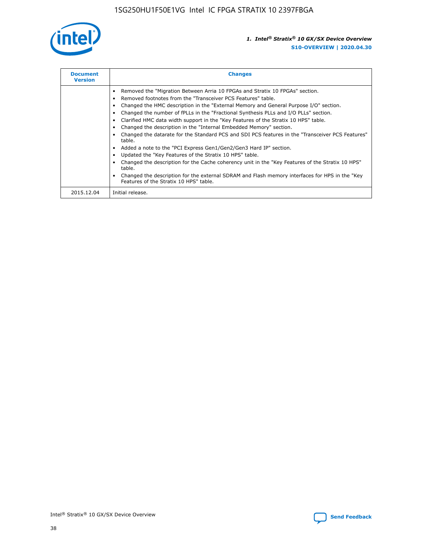

| <b>Document</b><br><b>Version</b> | <b>Changes</b>                                                                                                                                                                                                                                                                                                                                                                                                                                                                                                                                                                                                                                                                                                                                                                                                                                                                                                                                                                                     |
|-----------------------------------|----------------------------------------------------------------------------------------------------------------------------------------------------------------------------------------------------------------------------------------------------------------------------------------------------------------------------------------------------------------------------------------------------------------------------------------------------------------------------------------------------------------------------------------------------------------------------------------------------------------------------------------------------------------------------------------------------------------------------------------------------------------------------------------------------------------------------------------------------------------------------------------------------------------------------------------------------------------------------------------------------|
|                                   | Removed the "Migration Between Arria 10 FPGAs and Stratix 10 FPGAs" section.<br>Removed footnotes from the "Transceiver PCS Features" table.<br>Changed the HMC description in the "External Memory and General Purpose I/O" section.<br>Changed the number of fPLLs in the "Fractional Synthesis PLLs and I/O PLLs" section.<br>Clarified HMC data width support in the "Key Features of the Stratix 10 HPS" table.<br>Changed the description in the "Internal Embedded Memory" section.<br>Changed the datarate for the Standard PCS and SDI PCS features in the "Transceiver PCS Features"<br>table.<br>Added a note to the "PCI Express Gen1/Gen2/Gen3 Hard IP" section.<br>Updated the "Key Features of the Stratix 10 HPS" table.<br>Changed the description for the Cache coherency unit in the "Key Features of the Stratix 10 HPS"<br>table.<br>Changed the description for the external SDRAM and Flash memory interfaces for HPS in the "Key<br>Features of the Stratix 10 HPS" table. |
| 2015.12.04                        | Initial release.                                                                                                                                                                                                                                                                                                                                                                                                                                                                                                                                                                                                                                                                                                                                                                                                                                                                                                                                                                                   |